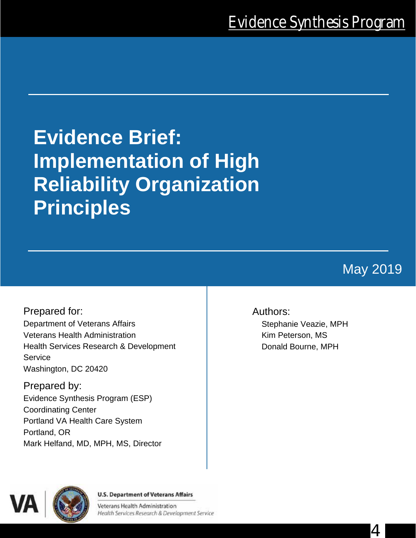# **Evidence Brief: Implementation of High Reliability Organization Principles**

May 2019

4

Prepared for: Department of Veterans Affairs Veterans Health Administration Health Services Research & Development **Service** Washington, DC 20420

Prepared by: Evidence Synthesis Program (ESP) Coordinating Center Portland VA Health Care System Portland, OR Mark Helfand, MD, MPH, MS, Director

## Authors:

Stephanie Veazie, MPH Kim Peterson, MS Donald Bourne, MPH



**U.S. Department of Veterans Affairs** 

Veterans Health Administration Health Services Research & Development Service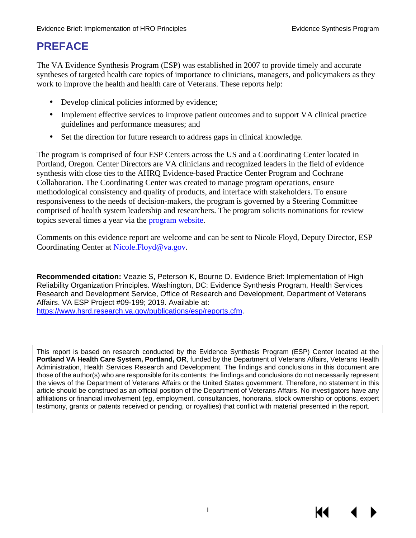# **PREFACE**

The VA Evidence Synthesis Program (ESP) was established in 2007 to provide timely and accurate syntheses of targeted health care topics of importance to clinicians, managers, and policymakers as they work to improve the health and health care of Veterans. These reports help:

- Develop clinical policies informed by evidence;
- Implement effective services to improve patient outcomes and to support VA clinical practice guidelines and performance measures; and
- ä, Set the direction for future research to address gaps in clinical knowledge.

The program is comprised of four ESP Centers across the US and a Coordinating Center located in Portland, Oregon. Center Directors are VA clinicians and recognized leaders in the field of evidence synthesis with close ties to the AHRQ Evidence-based Practice Center Program and Cochrane Collaboration. The Coordinating Center was created to manage program operations, ensure methodological consistency and quality of products, and interface with stakeholders. To ensure responsiveness to the needs of decision-makers, the program is governed by a Steering Committee comprised of health system leadership and researchers. The program solicits nominations for review topics several times a year via the [program website.](https://www.hsrd.research.va.gov/publications/esp/TopicNomination.cfm)

Comments on this evidence report are welcome and can be sent to Nicole Floyd, Deputy Director, ESP Coordinating Center at [Nicole.Floyd@va.gov.](mailto:Nicole.Floyd@va.gov)

**Recommended citation:** Veazie S, Peterson K, Bourne D. Evidence Brief: Implementation of High Reliability Organization Principles. Washington, DC: Evidence Synthesis Program, Health Services Research and Development Service, Office of Research and Development, Department of Veterans Affairs. VA ESP Project #09-199; 2019. Available at: [https://www.hsrd.research.va.gov/publications/esp/reports.cfm.](https://www.hsrd.research.va.gov/publications/esp/reports.cfm)

This report is based on research conducted by the Evidence Synthesis Program (ESP) Center located at the **Portland VA Health Care System, Portland, OR**, funded by the Department of Veterans Affairs, Veterans Health Administration, Health Services Research and Development. The findings and conclusions in this document are those of the author(s) who are responsible for its contents; the findings and conclusions do not necessarily represent the views of the Department of Veterans Affairs or the United States government. Therefore, no statement in this article should be construed as an official position of the Department of Veterans Affairs. No investigators have any affiliations or financial involvement (*eg*, employment, consultancies, honoraria, stock ownership or options, expert testimony, grants or patents received or pending, or royalties) that conflict with material presented in the report.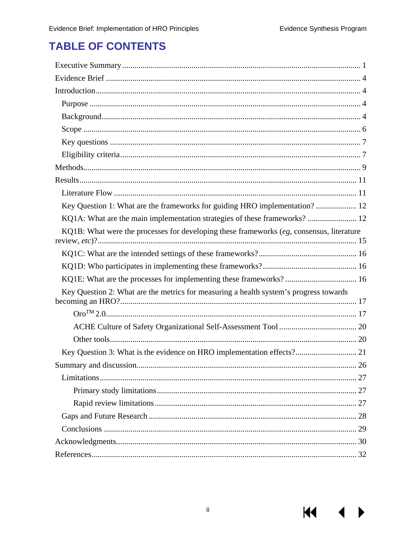**KK** 

# **TABLE OF CONTENTS**

| Key Question 1: What are the frameworks for guiding HRO implementation?  12                |
|--------------------------------------------------------------------------------------------|
| KQ1A: What are the main implementation strategies of these frameworks?  12                 |
| KQ1B: What were the processes for developing these frameworks $(eg,$ consensus, literature |
|                                                                                            |
|                                                                                            |
| KQ1E: What are the processes for implementing these frameworks? 16                         |
| Key Question 2: What are the metrics for measuring a health system's progress towards      |
|                                                                                            |
|                                                                                            |
|                                                                                            |
|                                                                                            |
| 26                                                                                         |
|                                                                                            |
|                                                                                            |
|                                                                                            |
|                                                                                            |
|                                                                                            |
|                                                                                            |
|                                                                                            |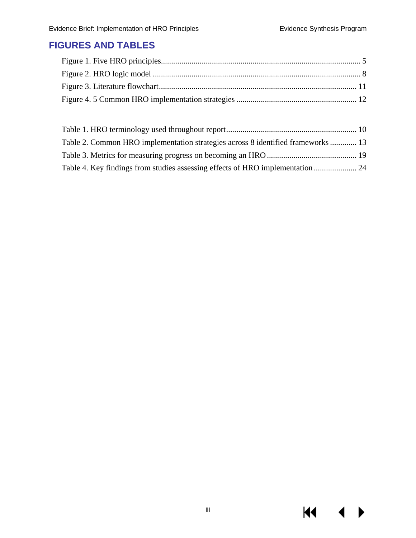$M \cdot 1$ 

 $\blacktriangleright$ 

## **FIGURES AND TABLES**

| Table 2. Common HRO implementation strategies across 8 identified frameworks  13 |  |
|----------------------------------------------------------------------------------|--|
|                                                                                  |  |
| Table 4. Key findings from studies assessing effects of HRO implementation  24   |  |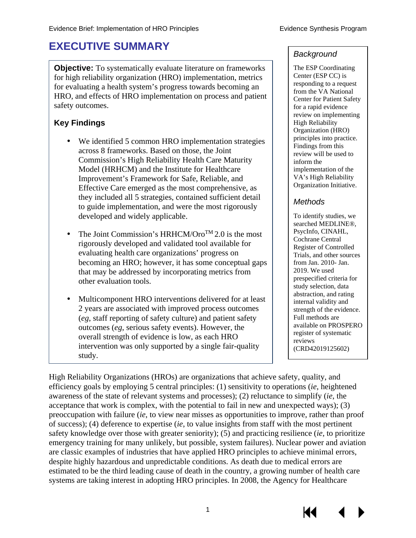# <span id="page-4-0"></span>**EXECUTIVE SUMMARY**

**Objective:** To systematically evaluate literature on frameworks for high reliability organization (HRO) implementation, metrics for evaluating a health system's progress towards becoming an HRO, and effects of HRO implementation on process and patient safety outcomes.

## **Key Findings**

- We identified 5 common HRO implementation strategies across 8 frameworks. Based on those, the Joint Commission's High Reliability Health Care Maturity Model (HRHCM) and the Institute for Healthcare Improvement's Framework for Safe, Reliable, and Effective Care emerged as the most comprehensive, as they included all 5 strategies, contained sufficient detail to guide implementation, and were the most rigorously developed and widely applicable.
- The Joint Commission's HRHCM/Oro<sup>TM</sup> 2.0 is the most rigorously developed and validated tool available for evaluating health care organizations' progress on becoming an HRO; however, it has some conceptual gaps that may be addressed by incorporating metrics from other evaluation tools.
- Multicomponent HRO interventions delivered for at least 2 years are associated with improved process outcomes (*eg*, staff reporting of safety culture) and patient safety outcomes (*eg*, serious safety events). However, the overall strength of evidence is low, as each HRO intervention was only supported by a single fair-quality study.

#### *Background*

The ESP Coordinating Center (ESP CC) is responding to a request from the VA National Center for Patient Safety for a rapid evidence review on implementing High Reliability Organization (HRO) principles into practice. Findings from this review will be used to inform the implementation of the VA's High Reliability Organization Initiative.

#### *Methods*

To identify studies, we searched MEDLINE®, PsycInfo, CINAHL, Cochrane Central Register of Controlled Trials, and other sources from Jan. 2010- Jan. 2019. We used prespecified criteria for study selection, data abstraction, and rating internal validity and strength of the evidence. Full methods are available on PROSPERO register of systematic reviews (CRD42019125602)

High Reliability Organizations (HROs) are organizations that achieve safety, quality, and efficiency goals by employing 5 central principles: (1) sensitivity to operations (*ie*, heightened awareness of the state of relevant systems and processes); (2) reluctance to simplify (*ie*, the acceptance that work is complex, with the potential to fail in new and unexpected ways); (3) preoccupation with failure (*ie*, to view near misses as opportunities to improve, rather than proof of success); (4) deference to expertise (*ie*, to value insights from staff with the most pertinent safety knowledge over those with greater seniority); (5) and practicing resilience (*ie*, to prioritize emergency training for many unlikely, but possible, system failures). Nuclear power and aviation are classic examples of industries that have applied HRO principles to achieve minimal errors, despite highly hazardous and unpredictable conditions. As death due to medical errors are estimated to be the third leading cause of death in the country, a growing number of health care systems are taking interest in adopting HRO principles. In 2008, the Agency for Healthcare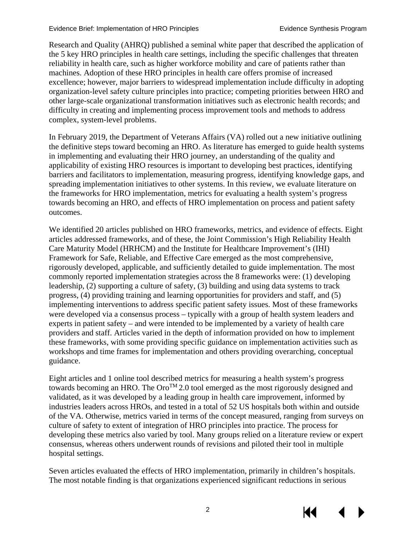Research and Quality (AHRQ) published a seminal white paper that described the application of the 5 key HRO principles in health care settings, including the specific challenges that threaten reliability in health care, such as higher workforce mobility and care of patients rather than machines. Adoption of these HRO principles in health care offers promise of increased excellence; however, major barriers to widespread implementation include difficulty in adopting organization-level safety culture principles into practice; competing priorities between HRO and other large-scale organizational transformation initiatives such as electronic health records; and difficulty in creating and implementing process improvement tools and methods to address complex, system-level problems.

In February 2019, the Department of Veterans Affairs (VA) rolled out a new initiative outlining the definitive steps toward becoming an HRO. As literature has emerged to guide health systems in implementing and evaluating their HRO journey, an understanding of the quality and applicability of existing HRO resources is important to developing best practices, identifying barriers and facilitators to implementation, measuring progress, identifying knowledge gaps, and spreading implementation initiatives to other systems. In this review, we evaluate literature on the frameworks for HRO implementation, metrics for evaluating a health system's progress towards becoming an HRO, and effects of HRO implementation on process and patient safety outcomes.

We identified 20 articles published on HRO frameworks, metrics, and evidence of effects. Eight articles addressed frameworks, and of these, the Joint Commission's High Reliability Health Care Maturity Model (HRHCM) and the Institute for Healthcare Improvement's (IHI) Framework for Safe, Reliable, and Effective Care emerged as the most comprehensive, rigorously developed, applicable, and sufficiently detailed to guide implementation. The most commonly reported implementation strategies across the 8 frameworks were: (1) developing leadership, (2) supporting a culture of safety, (3) building and using data systems to track progress, (4) providing training and learning opportunities for providers and staff, and (5) implementing interventions to address specific patient safety issues. Most of these frameworks were developed via a consensus process – typically with a group of health system leaders and experts in patient safety – and were intended to be implemented by a variety of health care providers and staff. Articles varied in the depth of information provided on how to implement these frameworks, with some providing specific guidance on implementation activities such as workshops and time frames for implementation and others providing overarching, conceptual guidance.

Eight articles and 1 online tool described metrics for measuring a health system's progress towards becoming an HRO. The  $O\text{ro}^{TM}$  2.0 tool emerged as the most rigorously designed and validated, as it was developed by a leading group in health care improvement, informed by industries leaders across HROs, and tested in a total of 52 US hospitals both within and outside of the VA. Otherwise, metrics varied in terms of the concept measured, ranging from surveys on culture of safety to extent of integration of HRO principles into practice. The process for developing these metrics also varied by tool. Many groups relied on a literature review or expert consensus, whereas others underwent rounds of revisions and piloted their tool in multiple hospital settings.

Seven articles evaluated the effects of HRO implementation, primarily in children's hospitals. The most notable finding is that organizations experienced significant reductions in serious

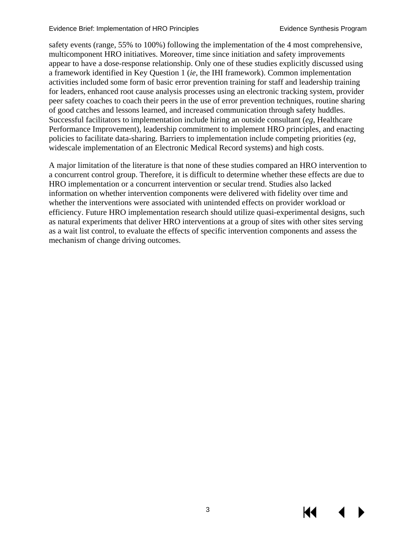#### Evidence Brief: Implementation of HRO Principles **Existence Synthesis Program**

safety events (range, 55% to 100%) following the implementation of the 4 most comprehensive, multicomponent HRO initiatives. Moreover, time since initiation and safety improvements appear to have a dose-response relationship. Only one of these studies explicitly discussed using a framework identified in Key Question 1 (*ie*, the IHI framework). Common implementation activities included some form of basic error prevention training for staff and leadership training for leaders, enhanced root cause analysis processes using an electronic tracking system, provider peer safety coaches to coach their peers in the use of error prevention techniques, routine sharing of good catches and lessons learned, and increased communication through safety huddles. Successful facilitators to implementation include hiring an outside consultant (*eg*, Healthcare Performance Improvement), leadership commitment to implement HRO principles, and enacting policies to facilitate data-sharing. Barriers to implementation include competing priorities (*eg*, widescale implementation of an Electronic Medical Record systems) and high costs.

A major limitation of the literature is that none of these studies compared an HRO intervention to a concurrent control group. Therefore, it is difficult to determine whether these effects are due to HRO implementation or a concurrent intervention or secular trend. Studies also lacked information on whether intervention components were delivered with fidelity over time and whether the interventions were associated with unintended effects on provider workload or efficiency. Future HRO implementation research should utilize quasi-experimental designs, such as natural experiments that deliver HRO interventions at a group of sites with other sites serving as a wait list control, to evaluate the effects of specific intervention components and assess the mechanism of change driving outcomes.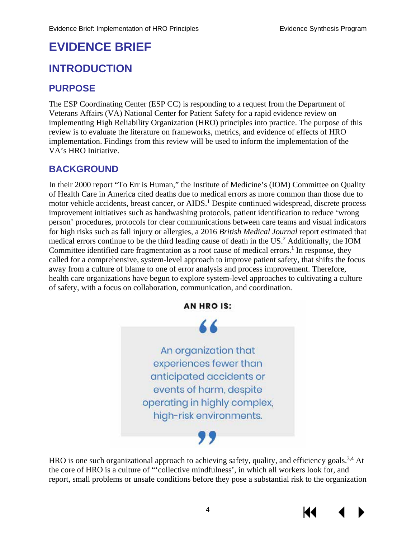# <span id="page-7-0"></span>**EVIDENCE BRIEF**

## <span id="page-7-1"></span>**INTRODUCTION**

## <span id="page-7-2"></span>**PURPOSE**

The ESP Coordinating Center (ESP CC) is responding to a request from the Department of Veterans Affairs (VA) National Center for Patient Safety for a rapid evidence review on implementing High Reliability Organization (HRO) principles into practice. The purpose of this review is to evaluate the literature on frameworks, metrics, and evidence of effects of HRO implementation. Findings from this review will be used to inform the implementation of the VA's HRO Initiative.

## <span id="page-7-3"></span>**BACKGROUND**

In their 2000 report "To Err is Human," the Institute of Medicine's (IOM) Committee on Quality of Health Care in America cited deaths due to medical errors as more common than those due to motor vehicle accidents, breast cancer, or AIDS.<sup>[1](#page-35-1)</sup> Despite continued widespread, discrete process improvement initiatives such as handwashing protocols, patient identification to reduce 'wrong person' procedures, protocols for clear communications between care teams and visual indicators for high risks such as fall injury or allergies, a 2016 *British Medical Journal* report estimated that medical errors continue to be the third leading cause of death in the US.<sup>[2](#page-35-2)</sup> Additionally, the IOM Committee identified care fragmentation as a root cause of medical errors.<sup>[1](#page-35-1)</sup> In response, they called for a comprehensive, system-level approach to improve patient safety, that shifts the focus away from a culture of blame to one of error analysis and process improvement. Therefore, health care organizations have begun to explore system-level approaches to cultivating a culture of safety, with a focus on collaboration, communication, and coordination.



HRO is one such organizational approach to achieving safety, quality, and efficiency goals.<sup>3,[4](#page-35-4)</sup> At the core of HRO is a culture of "'collective mindfulness', in which all workers look for, and report, small problems or unsafe conditions before they pose a substantial risk to the organization



К€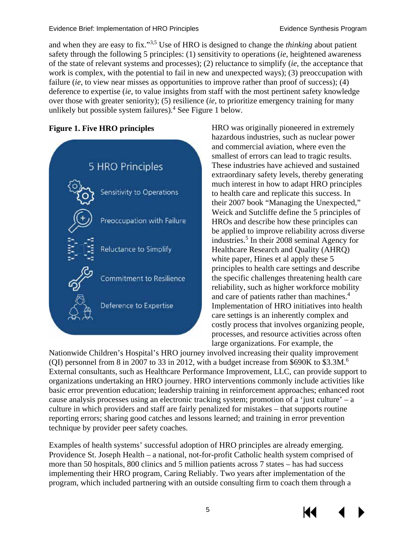and when they are easy to fix."[3,](#page-35-3)[5](#page-35-5) Use of HRO is designed to change the *thinking* about patient safety through the following 5 principles: (1) sensitivity to operations (*ie*, heightened awareness of the state of relevant systems and processes); (2) reluctance to simplify (*ie*, the acceptance that work is complex, with the potential to fail in new and unexpected ways); (3) preoccupation with failure *(ie, to view near misses as opportunities to improve rather than proof of success)*; (4) deference to expertise (*ie*, to value insights from staff with the most pertinent safety knowledge over those with greater seniority); (5) resilience (*ie*, to prioritize emergency training for many unlikely but possible system failures).<sup>4</sup> See Figure 1 below.

#### **Figure 1. Five HRO principles**



HRO was originally pioneered in extremely hazardous industries, such as nuclear power and commercial aviation, where even the smallest of errors can lead to tragic results. These industries have achieved and sustained extraordinary safety levels, thereby generating much interest in how to adapt HRO principles to health care and replicate this success. In their 2007 book "Managing the Unexpected," Weick and Sutcliffe define the 5 principles of HROs and describe how these principles can be applied to improve reliability across diverse industries.<sup>5</sup> In their 2008 seminal Agency for Healthcare Research and Quality (AHRQ) white paper, Hines et al apply these 5 principles to health care settings and describe the specific challenges threatening health care reliability, such as higher workforce mobility and care of patients rather than machines. [4](#page-35-4) Implementation of HRO initiatives into health care settings is an inherently complex and costly process that involves organizing people, processes, and resource activities across often large organizations. For example, the

Nationwide Children's Hospital's HRO journey involved increasing their quality improvement (QI) personnel from 8 in 2007 to 33 in 2012, with a budget increase from \$690K to \$3.3M[.6](#page-35-6) External consultants, such as Healthcare Performance Improvement, LLC, can provide support to organizations undertaking an HRO journey. HRO interventions commonly include activities like basic error prevention education; leadership training in reinforcement approaches; enhanced root cause analysis processes using an electronic tracking system; promotion of a 'just culture' – a culture in which providers and staff are fairly penalized for mistakes – that supports routine reporting errors; sharing good catches and lessons learned; and training in error prevention technique by provider peer safety coaches.

Examples of health systems' successful adoption of HRO principles are already emerging. Providence St. Joseph Health – a national, not-for-profit Catholic health system comprised of more than 50 hospitals, 800 clinics and 5 million patients across 7 states – has had success implementing their HRO program, Caring Reliably. Two years after implementation of the program, which included partnering with an outside consulting firm to coach them through a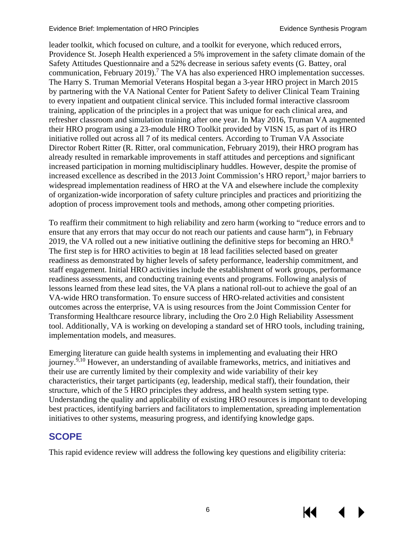leader toolkit, which focused on culture, and a toolkit for everyone, which reduced errors, Providence St. Joseph Health experienced a 5% improvement in the safety climate domain of the Safety Attitudes Questionnaire and a 52% decrease in serious safety events (G. Battey, oral communication, February 2019).<sup>[7](#page-35-7)</sup> The VA has also experienced HRO implementation successes. The Harry S. Truman Memorial Veterans Hospital began a 3-year HRO project in March 2015 by partnering with the VA National Center for Patient Safety to deliver Clinical Team Training to every inpatient and outpatient clinical service. This included formal interactive classroom training, application of the principles in a project that was unique for each clinical area, and refresher classroom and simulation training after one year. In May 2016, Truman VA augmented their HRO program using a 23-module HRO Toolkit provided by VISN 15, as part of its HRO initiative rolled out across all 7 of its medical centers. According to Truman VA Associate Director Robert Ritter (R. Ritter, oral communication, February 2019), their HRO program has already resulted in remarkable improvements in staff attitudes and perceptions and significant increased participation in morning multidisciplinary huddles. However, despite the promise of increased excellence as described in the 201[3](#page-35-3) Joint Commission's HRO report,<sup>3</sup> major barriers to widespread implementation readiness of HRO at the VA and elsewhere include the complexity of organization-wide incorporation of safety culture principles and practices and prioritizing the adoption of process improvement tools and methods, among other competing priorities.

To reaffirm their commitment to high reliability and zero harm (working to "reduce errors and to ensure that any errors that may occur do not reach our patients and cause harm"), in February 2019, the VA rolled out a new initiative outlining the definitive steps for becoming an HRO.<sup>8</sup> The first step is for HRO activities to begin at 18 lead facilities selected based on greater readiness as demonstrated by higher levels of safety performance, leadership commitment, and staff engagement. Initial HRO activities include the establishment of work groups, performance readiness assessments, and conducting training events and programs. Following analysis of lessons learned from these lead sites, the VA plans a national roll-out to achieve the goal of an VA-wide HRO transformation. To ensure success of HRO-related activities and consistent outcomes across the enterprise, VA is using resources from the Joint Commission Center for Transforming Healthcare resource library, including the Oro 2.0 High Reliability Assessment tool. Additionally, VA is working on developing a standard set of HRO tools, including training, implementation models, and measures.

Emerging literature can guide health systems in implementing and evaluating their HRO journey.<sup>9,[10](#page-35-10)</sup> However, an understanding of available frameworks, metrics, and initiatives and their use are currently limited by their complexity and wide variability of their key characteristics, their target participants (*eg*, leadership, medical staff), their foundation, their structure, which of the 5 HRO principles they address, and health system setting type. Understanding the quality and applicability of existing HRO resources is important to developing best practices, identifying barriers and facilitators to implementation, spreading implementation initiatives to other systems, measuring progress, and identifying knowledge gaps.

#### <span id="page-9-0"></span>**SCOPE**

This rapid evidence review will address the following key questions and eligibility criteria:

КK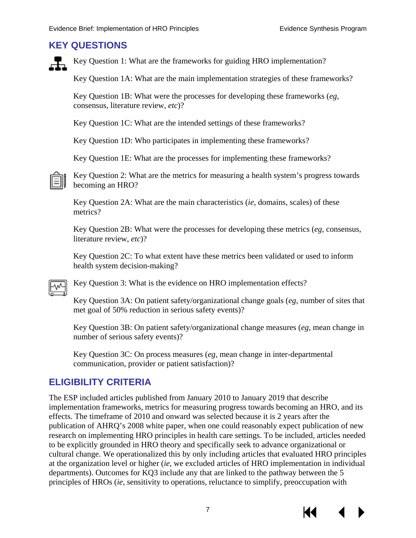#### <span id="page-10-0"></span>**KEY QUESTIONS**

Key Question 1: What are the frameworks for guiding HRO implementation?

Key Question 1A: What are the main implementation strategies of these frameworks?

Key Question 1B: What were the processes for developing these frameworks (*eg*, consensus, literature review, *etc*)?

Key Question 1C: What are the intended settings of these frameworks?

Key Question 1D: Who participates in implementing these frameworks?

Key Question 1E: What are the processes for implementing these frameworks?

Key Question 2: What are the metrics for measuring a health system's progress towards becoming an HRO?

Key Question 2A: What are the main characteristics (*ie*, domains, scales) of these metrics?

Key Question 2B: What were the processes for developing these metrics (*eg*, consensus, literature review, *etc*)?

Key Question 2C: To what extent have these metrics been validated or used to inform health system decision-making?

Key Question 3: What is the evidence on HRO implementation effects?

Key Question 3A: On patient safety/organizational change goals (*eg*, number of sites that met goal of 50% reduction in serious safety events)?

Key Question 3B: On patient safety/organizational change measures (*eg*, mean change in number of serious safety events)?

Key Question 3C: On process measures (*eg*, mean change in inter-departmental communication, provider or patient satisfaction)?

## <span id="page-10-1"></span>**ELIGIBILITY CRITERIA**

The ESP included articles published from January 2010 to January 2019 that describe implementation frameworks, metrics for measuring progress towards becoming an HRO, and its effects. The timeframe of 2010 and onward was selected because it is 2 years after the publication of AHRQ's 2008 white paper, when one could reasonably expect publication of new research on implementing HRO principles in health care settings. To be included, articles needed to be explicitly grounded in HRO theory and specifically seek to advance organizational or cultural change. We operationalized this by only including articles that evaluated HRO principles at the organization level or higher (*ie*, we excluded articles of HRO implementation in individual departments). Outcomes for KQ3 include any that are linked to the pathway between the 5 principles of HROs (*ie*, sensitivity to operations, reluctance to simplify, preoccupation with

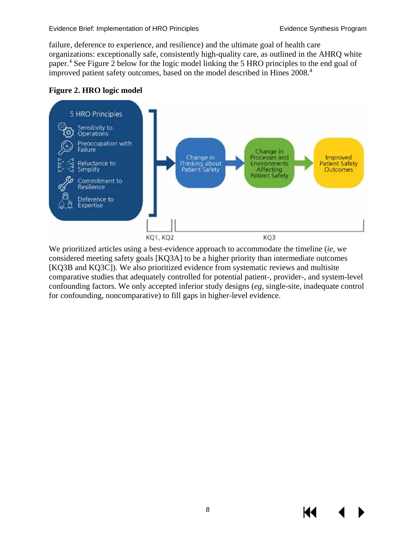failure, deference to experience, and resilience) and the ultimate goal of health care organizations: exceptionally safe, consistently high-quality care, as outlined in the AHRQ white paper[.](#page-35-4)<sup>4</sup> See Figure 2 below for the logic model linking the 5 HRO principles to the end goal of improved patient safety outcomes, based on the model described in Hines 2008.<sup>4</sup>

#### <span id="page-11-0"></span>**Figure 2. HRO logic model**



We prioritized articles using a best-evidence approach to accommodate the timeline (*ie*, we considered meeting safety goals [KQ3A] to be a higher priority than intermediate outcomes [KQ3B and KQ3C]). We also prioritized evidence from systematic reviews and multisite comparative studies that adequately controlled for potential patient-, provider-, and system-level confounding factors. We only accepted inferior study designs (*eg*, single-site, inadequate control for confounding, noncomparative) to fill gaps in higher-level evidence.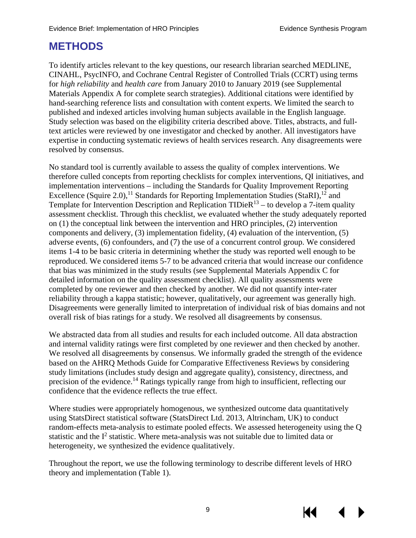## <span id="page-12-0"></span>**METHODS**

To identify articles relevant to the key questions, our research librarian searched MEDLINE, CINAHL, PsycINFO, and Cochrane Central Register of Controlled Trials (CCRT) using terms for *high reliability* and *health care* from January 2010 to January 2019 (see Supplemental Materials Appendix A for complete search strategies). Additional citations were identified by hand-searching reference lists and consultation with content experts. We limited the search to published and indexed articles involving human subjects available in the English language. Study selection was based on the eligibility criteria described above. Titles, abstracts, and fulltext articles were reviewed by one investigator and checked by another. All investigators have expertise in conducting systematic reviews of health services research. Any disagreements were resolved by consensus.

No standard tool is currently available to assess the quality of complex interventions. We therefore culled concepts from reporting checklists for complex interventions, QI initiatives, and implementation interventions – including the Standards for Quality Improvement Reporting Excellence (Squire 2.0),<sup>11</sup> Standards for Reporting Implementation Studies (StaRI),<sup>12</sup> and Template for Intervention Description and Replication  $TIDieR<sup>13</sup> -$  to develop a 7-item quality assessment checklist. Through this checklist, we evaluated whether the study adequately reported on (1) the conceptual link between the intervention and HRO principles, (2) intervention components and delivery, (3) implementation fidelity, (4) evaluation of the intervention, (5) adverse events, (6) confounders, and (7) the use of a concurrent control group. We considered items 1-4 to be basic criteria in determining whether the study was reported well enough to be reproduced. We considered items 5-7 to be advanced criteria that would increase our confidence that bias was minimized in the study results (see Supplemental Materials Appendix C for detailed information on the quality assessment checklist). All quality assessments were completed by one reviewer and then checked by another. We did not quantify inter-rater reliability through a kappa statistic; however, qualitatively, our agreement was generally high. Disagreements were generally limited to interpretation of individual risk of bias domains and not overall risk of bias ratings for a study. We resolved all disagreements by consensus.

We abstracted data from all studies and results for each included outcome. All data abstraction and internal validity ratings were first completed by one reviewer and then checked by another. We resolved all disagreements by consensus. We informally graded the strength of the evidence based on the AHRQ Methods Guide for Comparative Effectiveness Reviews by considering study limitations (includes study design and aggregate quality), consistency, directness, and precision of the evidence.<sup>[14](#page-35-14)</sup> Ratings typically range from high to insufficient, reflecting our confidence that the evidence reflects the true effect.

Where studies were appropriately homogenous, we synthesized outcome data quantitatively using StatsDirect statistical software (StatsDirect Ltd. 2013, Altrincham, UK) to conduct random-effects meta-analysis to estimate pooled effects. We assessed heterogeneity using the Q statistic and the  $I<sup>2</sup>$  statistic. Where meta-analysis was not suitable due to limited data or heterogeneity, we synthesized the evidence qualitatively.

Throughout the report, we use the following terminology to describe different levels of HRO theory and implementation (Table 1).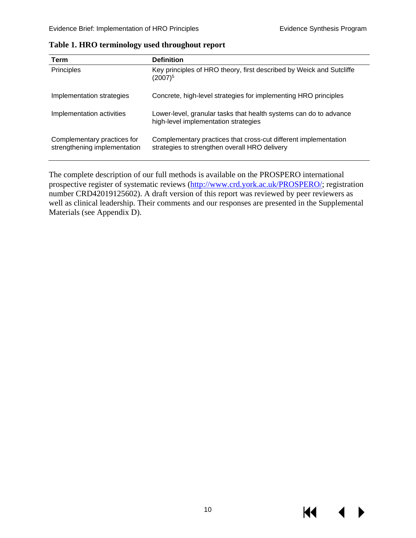| <b>Term</b>                                                 | <b>Definition</b>                                                                                                |
|-------------------------------------------------------------|------------------------------------------------------------------------------------------------------------------|
| Principles                                                  | Key principles of HRO theory, first described by Weick and Sutcliffe<br>$(2007)^5$                               |
| Implementation strategies                                   | Concrete, high-level strategies for implementing HRO principles                                                  |
| Implementation activities                                   | Lower-level, granular tasks that health systems can do to advance<br>high-level implementation strategies        |
| Complementary practices for<br>strengthening implementation | Complementary practices that cross-cut different implementation<br>strategies to strengthen overall HRO delivery |

<span id="page-13-0"></span>**Table 1. HRO terminology used throughout report**

The complete description of our full methods is available on the PROSPERO international prospective register of systematic reviews [\(http://www.crd.york.ac.uk/PROSPERO/;](http://www.crd.york.ac.uk/PROSPERO/) registration number CRD42019125602). A draft version of this report was reviewed by peer reviewers as well as clinical leadership. Their comments and our responses are presented in the Supplemental Materials (see Appendix D).

К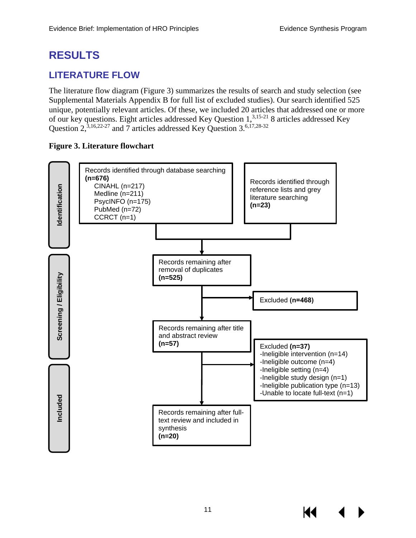# <span id="page-14-0"></span>**RESULTS**

## <span id="page-14-1"></span>**LITERATURE FLOW**

The literature flow diagram (Figure 3) summarizes the results of search and study selection (see Supplemental Materials Appendix B for full list of excluded studies). Our search identified 525 unique, potentially relevant articles. Of these, we included 20 articles that addressed one or more of our key questions. Eight articles addressed Key Question 1[,3,](#page-35-3)[15-21](#page-35-15) 8 articles addressed Key Question  $2,3,16,22-27$  $2,3,16,22-27$  $2,3,16,22-27$  $2,3,16,22-27$  and  $7$  articles addressed Key Question  $3.6,17,28-32$  $3.6,17,28-32$  $3.6,17,28-32$  $3.6,17,28-32$ 

#### <span id="page-14-2"></span>**Figure 3. Literature flowchart**

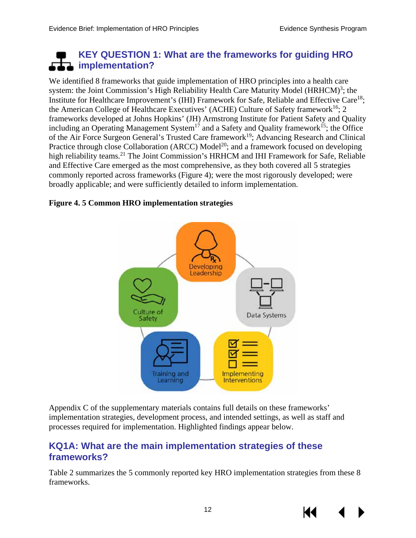## <span id="page-15-0"></span>**KEY QUESTION 1: What are the frameworks for guiding HRO implementation?**

We identified 8 frameworks that guide implementation of HRO principles into a health care system: the Joint Commission's High Reliability Health Care Maturity Model (HRHCM)<sup>[3](#page-35-3)</sup>; the Institute for Healthcare Improvement's (IHI) Framework for Safe, Reliable and Effective Care<sup>18</sup>; the American College of Healthcare Executives' (ACHE) Culture of Safety framework<sup>16</sup>: 2 frameworks developed at Johns Hopkins' (JH) Armstrong Institute for Patient Safety and Quality including an Operating Management System<sup>17</sup> and a Safety and Quality framework<sup>15</sup>; the Office of the Air Force Surgeon General's Trusted Care framework<sup>19</sup>; Advancing Research and Clinical Practice through close Collaboration (ARCC) Model<sup>20</sup>; and a framework focused on developing high reliability teams.<sup>21</sup> The Joint Commission's HRHCM and IHI Framework for Safe, Reliable and Effective Care emerged as the most comprehensive, as they both covered all 5 strategies commonly reported across frameworks (Figure 4); were the most rigorously developed; were broadly applicable; and were sufficiently detailed to inform implementation.

#### <span id="page-15-2"></span>**Figure 4. 5 Common HRO implementation strategies**



Appendix C of the supplementary materials contains full details on these frameworks' implementation strategies, development process, and intended settings, as well as staff and processes required for implementation. Highlighted findings appear below.

## <span id="page-15-1"></span>**KQ1A: What are the main implementation strategies of these frameworks?**

Table 2 summarizes the 5 commonly reported key HRO implementation strategies from these 8 frameworks.

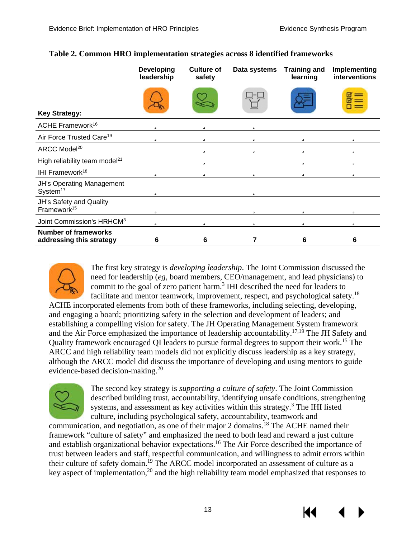|                                                          | <b>Developing</b><br>leadership | <b>Culture of</b><br>safety | Data systems | <b>Training and</b><br>learning | Implementing<br>interventions |
|----------------------------------------------------------|---------------------------------|-----------------------------|--------------|---------------------------------|-------------------------------|
| <b>Key Strategy:</b>                                     |                                 |                             |              |                                 | ⊓<br>ना                       |
| ACHE Framework <sup>16</sup>                             | ü                               | ü                           | ü            |                                 |                               |
| Air Force Trusted Care <sup>19</sup>                     | ü                               | ü                           | ü            | ü                               | ü                             |
| ARCC Model <sup>20</sup>                                 |                                 | ü                           | ü            | ü                               | ü                             |
| High reliability team model <sup>21</sup>                |                                 | ü                           |              | ü                               | ü                             |
| IHI Framework <sup>18</sup>                              | ü                               | ü                           | ü            | ü                               | ü                             |
| <b>JH's Operating Management</b><br>System <sup>17</sup> | ü                               |                             | ü            |                                 |                               |
| JH's Safety and Quality<br>Framework <sup>15</sup>       | ü                               |                             | ü            | ü                               | ü                             |
| Joint Commission's HRHCM <sup>3</sup>                    | ü                               | ü                           | ü            | ü                               | ü                             |
| <b>Number of frameworks</b><br>addressing this strategy  | 6                               | 6                           |              | 6                               | 6                             |

#### <span id="page-16-0"></span>**Table 2. Common HRO implementation strategies across 8 identified frameworks**



The first key strategy is *developing leadership*. The Joint Commission discussed the need for leadership (*eg*, board members, CEO/management, and lead physicians) to commit to the goal of zero patient harm.<sup>[3](#page-35-3)</sup> IHI described the need for leaders to facilitate and mentor teamwork, improvement, respect, and psychological safety.<sup>[18](#page-36-2)</sup>

ACHE incorporated elements from both of these frameworks, including selecting, developing, and engaging a board; prioritizing safety in the selection and development of leaders; and establishing a compelling vision for safety. The JH Operating Management System framework and the Air Force emphasized the importance of leadership accountability.<sup>[17,](#page-35-17)[19](#page-36-3)</sup> The JH Safety and Quality framework encouraged QI leaders to pursue formal degrees to support their work.[15](#page-35-15) The ARCC and high reliability team models did not explicitly discuss leadership as a key strategy, although the ARCC model did discuss the importance of developing and using mentors to guide evidence-based decision-making[.20](#page-36-4) 



The second key strategy is *supporting a culture of safety*. The Joint Commission described building trust, accountability, identifying unsafe conditions, strengthening systems, and assessment as key activities within this strategy.<sup>[3](#page-35-3)</sup> The IHI listed culture, including psychological safety, accountability, teamwork and

communication, and negotiation, as one of their major 2 domains.<sup>18</sup> The ACHE named their framework "culture of safety" and emphasized the need to both lead and reward a just culture and establish organizational behavior expectations[.16](#page-35-16) The Air Force described the importance of trust between leaders and staff, respectful communication, and willingness to admit errors within their culture of safety domain.<sup>19</sup> The ARCC model incorporated an assessment of culture as a key aspect of implementation, $^{20}$  and the high reliability team model emphasized that responses to



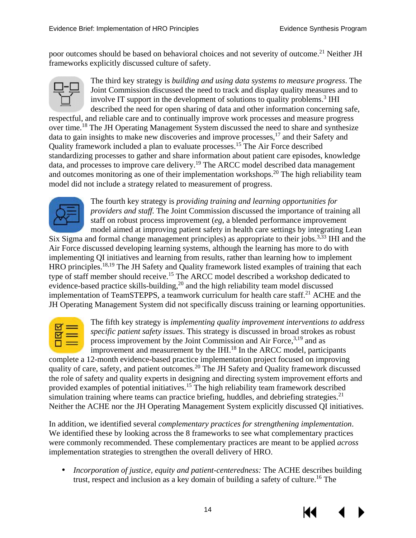poor outcomes should be based on behavioral choices and not severity of outcome.<sup>21</sup> Neither JH frameworks explicitly discussed culture of safety.



The third key strategy is *building and using data systems to measure progress*. The Joint Commission discussed the need to track and display quality measures and to involve IT support in the development of solutions to quality problems.<sup>3</sup> IHI described the need for open sharing of data and other information concerning safe,

respectful, and reliable care and to continually improve work processes and measure progress over time[.18](#page-36-2) The JH Operating Management System discussed the need to share and synthesize data to gain insights to make new discoveries and improve processes,[17](#page-35-17) and their Safety and Quality framework included a plan to evaluate processes[.15](#page-35-15) The Air Force described standardizing processes to gather and share information about patient care episodes, knowledge data, and processes to improve care delivery[.19](#page-36-3) The ARCC model described data management and outcomes monitoring as one of their implementation workshops.<sup>20</sup> The high reliability team model did not include a strategy related to measurement of progress.



The fourth key strategy is *providing training and learning opportunities for providers and staff.* The Joint Commission discussed the importance of training all staff on robust process improvement (*eg*, a blended performance improvement model aimed at improving patient safety in health care settings by integrating Lean

Six Sigma and formal change management principles) as appropriate to their jobs.<sup>[3,](#page-35-3)33</sup> IHI and the Air Force discussed developing learning systems, although the learning has more to do with implementing QI initiatives and learning from results, rather than learning how to implement HRO principles.<sup>18,[19](#page-36-3)</sup> The JH Safety and Quality framework listed examples of training that each type of staff member should receive[.15](#page-35-15) The ARCC model described a workshop dedicated to evidence-based practice skills-building, $^{20}$  $^{20}$  $^{20}$  and the high reliability team model discussed implementation of TeamSTEPPS, a teamwork curriculum for health care staff.<sup>21</sup> ACHE and the JH Operating Management System did not specifically discuss training or learning opportunities.



The fifth key strategy is *implementing quality improvement interventions to address specific patient safety issues*. This strategy is discussed in broad strokes as robust process improvement by the Joint Commission and Air Force,<sup>[3,](#page-35-3)19</sup> and as improvement and measurement by the IHI.<sup>[18](#page-36-2)</sup> In the ARCC model, participants

complete a 12-month evidence-based practice implementation project focused on improving quality of care, safety, and patient outcomes.<sup>20</sup> The JH Safety and Quality framework discussed the role of safety and quality experts in designing and directing system improvement efforts and provided examples of potential initiatives. [15](#page-35-15) The high reliability team framework described simulation training where teams can practice briefing, huddles, and debriefing strategies.<sup>[21](#page-36-5)</sup> Neither the ACHE nor the JH Operating Management System explicitly discussed QI initiatives.

In addition, we identified several *complementary practices for strengthening implementation*. We identified these by looking across the 8 frameworks to see what complementary practices were commonly recommended. These complementary practices are meant to be applied *across* implementation strategies to strengthen the overall delivery of HRO.

*Incorporation of justice, equity and patient-centeredness:* The ACHE describes building trust, respect and inclusion as a key domain of building a safety of culture[.16](#page-35-16) The



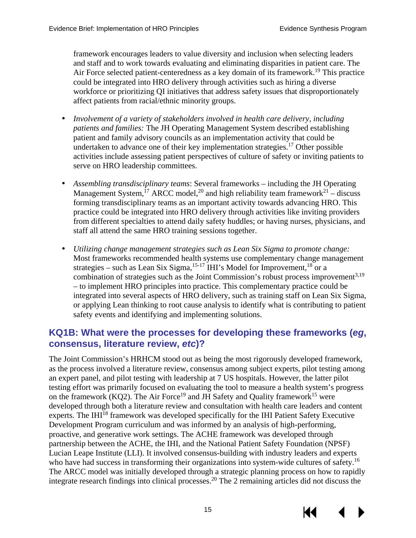framework encourages leaders to value diversity and inclusion when selecting leaders and staff and to work towards evaluating and eliminating disparities in patient care. The Air Force selected patient-centeredness as a key domain of its framework.<sup>[19](#page-36-3)</sup> This practice could be integrated into HRO delivery through activities such as hiring a diverse workforce or prioritizing QI initiatives that address safety issues that disproportionately affect patients from racial/ethnic minority groups.

- *Involvement of a variety of stakeholders involved in health care delivery, including patients and families:* The JH Operating Management System described establishing patient and family advisory councils as an implementation activity that could be undertaken to advance one of their key implementation strategies.<sup>[17](#page-35-17)</sup> Other possible activities include assessing patient perspectives of culture of safety or inviting patients to serve on HRO leadership committees.
- *Assembling transdisciplinary teams*: Several frameworks including the JH Operating Management System,<sup>[17](#page-35-17)</sup> ARCC model,<sup>20</sup> and high reliability team framework<sup>21</sup> – discuss forming transdisciplinary teams as an important activity towards advancing HRO. This practice could be integrated into HRO delivery through activities like inviting providers from different specialties to attend daily safety huddles; or having nurses, physicians, and staff all attend the same HRO training sessions together.
- *Utilizing change management strategies such as Lean Six Sigma to promote change:*  $\mathbf{r}$ Most frameworks recommended health systems use complementary change management strategies – such as Lean Six Sigma,<sup>15-17</sup> IHI's Model for Improvement,<sup>18</sup> or a combination of strategies such as the Joint Commission's robust process improvement<sup>[3,](#page-35-3)[19](#page-36-3)</sup> – to implement HRO principles into practice. This complementary practice could be integrated into several aspects of HRO delivery, such as training staff on Lean Six Sigma, or applying Lean thinking to root cause analysis to identify what is contributing to patient safety events and identifying and implementing solutions.

## <span id="page-18-0"></span>**KQ1B: What were the processes for developing these frameworks (***eg***, consensus, literature review,** *etc***)?**

The Joint Commission's HRHCM stood out as being the most rigorously developed framework, as the process involved a literature review, consensus among subject experts, pilot testing among an expert panel, and pilot testing with leadership at 7 US hospitals. However, the latter pilot testing effort was primarily focused on evaluating the tool to measure a health system's progress on the framework (KQ2). The Air Force<sup>19</sup> and JH Safety and Quality framework<sup>15</sup> were developed through both a literature review and consultation with health care leaders and content experts. The IHI<sup>[18](#page-36-2)</sup> framework was developed specifically for the IHI Patient Safety Executive Development Program curriculum and was informed by an analysis of high-performing, proactive, and generative work settings. The ACHE framework was developed through partnership between the ACHE, the IHI, and the National Patient Safety Foundation (NPSF) Lucian Leape Institute (LLI). It involved consensus-building with industry leaders and experts who have had success in transforming their organizations into system-wide cultures of safety.<sup>[16](#page-35-16)</sup> The ARCC model was initially developed through a strategic planning process on how to rapidly integrate research findings into clinical processes.[20](#page-36-4) The 2 remaining articles did not discuss the

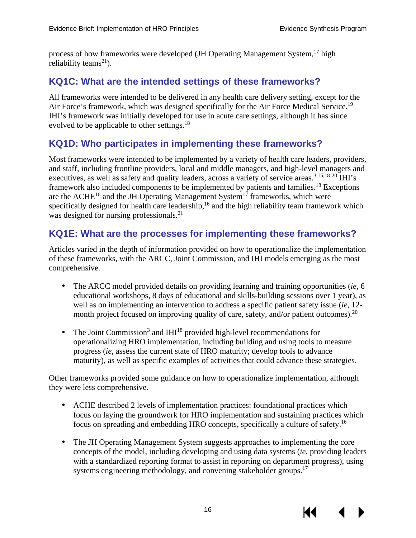process of how frameworks were developed (JH Operating Management System,<sup>17</sup> high reliability teams<sup>21</sup>).

## <span id="page-19-0"></span>**KQ1C: What are the intended settings of these frameworks?**

All frameworks were intended to be delivered in any health care delivery setting, except for the Air Force's framework, which was designed specifically for the Air Force Medical Service.<sup>[19](#page-36-3)</sup> IHI's framework was initially developed for use in acute care settings, although it has since evolved to be applicable to other settings.<sup>18</sup>

## <span id="page-19-1"></span>**KQ1D: Who participates in implementing these frameworks?**

Most frameworks were intended to be implemented by a variety of health care leaders, providers, and staff, including frontline providers, local and middle managers, and high-level managers and executives, as well as safety and quality leaders, across a variety of service areas.<sup>[3,](#page-35-3)[15,](#page-35-15)[18-20](#page-36-2)</sup> IHI's framework also included components to be implemented by patients and families[.18](#page-36-2) Exceptions are the  $\text{ACHE}^{16}$  and the JH Operating Management System<sup>17</sup> frameworks, which were specifically designed for health care leadership,<sup>16</sup> and the high reliability team framework which was designed for nursing professionals.<sup>21</sup>

## <span id="page-19-2"></span>**KQ1E: What are the processes for implementing these frameworks?**

Articles varied in the depth of information provided on how to operationalize the implementation of these frameworks, with the ARCC, Joint Commission, and IHI models emerging as the most comprehensive.

- The ARCC model provided details on providing learning and training opportunities (*ie*, 6 educational workshops, 8 days of educational and skills-building sessions over 1 year), as well as on implementing an intervention to address a specific patient safety issue (*ie*, 12 month project focused on improving quality of care, safety, and/or patient outcomes).<sup>20</sup>
- The Joi[n](#page-35-3)t Commission<sup>3</sup> and IHI<sup>18</sup> provided high-level recommendations for operationalizing HRO implementation, including building and using tools to measure progress (*ie*, assess the current state of HRO maturity; develop tools to advance maturity), as well as specific examples of activities that could advance these strategies.

Other frameworks provided some guidance on how to operationalize implementation, although they were less comprehensive.

- $\mathbf{L}$ ACHE described 2 levels of implementation practices: foundational practices which focus on laying the groundwork for HRO implementation and sustaining practices which focus on spreading and embedding HRO concepts, specifically a culture of safety[.16](#page-35-16)
- The JH Operating Management System suggests approaches to implementing the core concepts of the model, including developing and using data systems (*ie*, providing leaders with a standardized reporting format to assist in reporting on department progress), using systems engineering methodology, and convening stakeholder groups.<sup>17</sup>

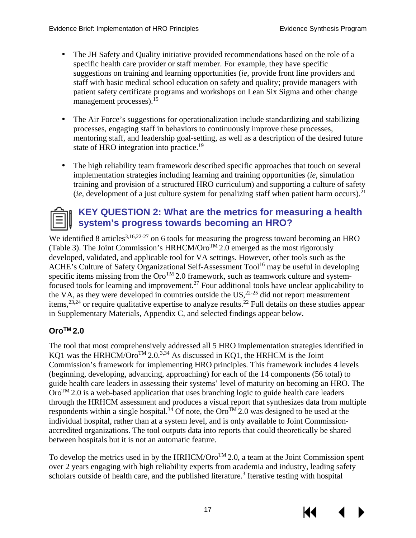- The JH Safety and Quality initiative provided recommendations based on the role of a specific health care provider or staff member. For example, they have specific suggestions on training and learning opportunities (*ie*, provide front line providers and staff with basic medical school education on safety and quality; provide managers with patient safety certificate programs and workshops on Lean Six Sigma and other change management processes).<sup>15</sup>
- The Air Force's suggestions for operationalization include standardizing and stabilizing processes, engaging staff in behaviors to continuously improve these processes, mentoring staff, and leadership goal-setting, as well as a description of the desired future state of HRO integration into practice.<sup>19</sup>
- The high reliability team framework described specific approaches that touch on several implementation strategies including learning and training opportunities (*ie*, simulation training and provision of a structured HRO curriculum) and supporting a culture of safety (*ie*, development of a just culture system for penalizing staff when patient harm occurs).<sup>21</sup>



## <span id="page-20-0"></span>**KEY QUESTION 2: What are the metrics for measuring a health system's progress towards becoming an HRO?**

We identified 8 articles<sup>[3,](#page-35-3)[16,](#page-35-16)22-27</sup> on 6 tools for measuring the progress toward becoming an HRO (Table 3). The Joint Commission's HRHCM/Oro<sup>TM</sup> 2.0 emerged as the most rigorously developed, validated, and applicable tool for VA settings. However, other tools such as the ACHE's Culture of Safety Organizational Self-Assessment Tool<sup>16</sup> may be useful in developing specific items missing from the  $Oro^{TM}$  2.0 framework, such as teamwork culture and systemfocused tools for learning and improvement.<sup>27</sup> Four additional tools have unclear applicability to the VA, as they were developed in countries outside the US,  $2^{2-25}$  did not report measurement items,<sup>[23](#page-36-8)[,24](#page-36-9)</sup> or require qualitative expertise to analyze results.<sup>22</sup> Full details on these studies appear in Supplementary Materials, Appendix C, and selected findings appear below.

#### <span id="page-20-1"></span>**OroTM 2.0**

The tool that most comprehensively addressed all 5 HRO implementation strategies identified in KQ1 was the HRHCM/Oro<sup>TM</sup> 2.0.<sup>3,[34](#page-37-0)</sup> As discussed in KQ1, the HRHCM is the Joint Commission's framework for implementing HRO principles. This framework includes 4 levels (beginning, developing, advancing, approaching) for each of the 14 components (56 total) to guide health care leaders in assessing their systems' level of maturity on becoming an HRO. The  $Oro<sup>TM</sup> 2.0$  is a web-based application that uses branching logic to guide health care leaders through the HRHCM assessment and produces a visual report that synthesizes data from multiple respondents within a single hospital.<sup>34</sup> Of note, the Oro<sup>TM</sup> 2.0 was designed to be used at the individual hospital, rather than at a system level, and is only available to Joint Commissionaccredited organizations. The tool outputs data into reports that could theoretically be shared between hospitals but it is not an automatic feature.

To develop the metrics used in by the HRHCM/Oro<sup>TM</sup> 2.0, a team at the Joint Commission spent over 2 years engaging with high reliability experts from academia and industry, leading safety scholars outside of health care, and the published literature.<sup>[3](#page-35-3)</sup> Iterative testing with hospital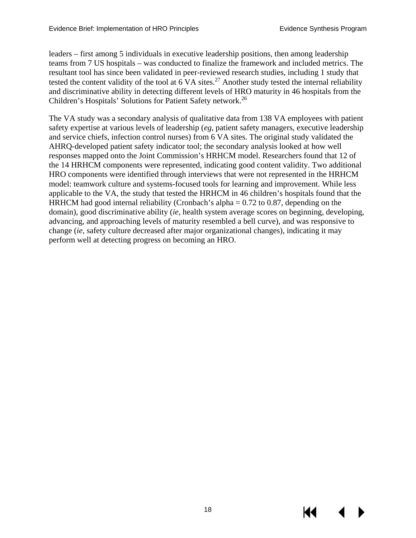leaders – first among 5 individuals in executive leadership positions, then among leadership teams from 7 US hospitals – was conducted to finalize the framework and included metrics. The resultant tool has since been validated in peer-reviewed research studies, including 1 study that tested the content validity of the tool at  $6 \text{ VA}$  sites.<sup>[27](#page-36-7)</sup> Another study tested the internal reliability and discriminative ability in detecting different levels of HRO maturity in 46 hospitals from the Children's Hospitals' Solutions for Patient Safety network. [26](#page-36-10)

The VA study was a secondary analysis of qualitative data from 138 VA employees with patient safety expertise at various levels of leadership (*eg*, patient safety managers, executive leadership and service chiefs, infection control nurses) from 6 VA sites. The original study validated the AHRQ-developed patient safety indicator tool; the secondary analysis looked at how well responses mapped onto the Joint Commission's HRHCM model. Researchers found that 12 of the 14 HRHCM components were represented, indicating good content validity. Two additional HRO components were identified through interviews that were not represented in the HRHCM model: teamwork culture and systems-focused tools for learning and improvement. While less applicable to the VA, the study that tested the HRHCM in 46 children's hospitals found that the HRHCM had good internal reliability (Cronbach's alpha  $= 0.72$  to 0.87, depending on the domain), good discriminative ability (*ie*, health system average scores on beginning, developing, advancing, and approaching levels of maturity resembled a bell curve), and was responsive to change (*ie*, safety culture decreased after major organizational changes), indicating it may perform well at detecting progress on becoming an HRO.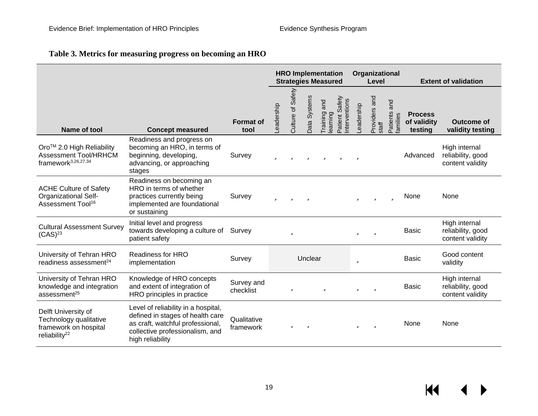#### **Table 3. Metrics for measuring progress on becoming an HRO**

<span id="page-22-0"></span>

|                                                                                                     |                                                                                                                                                                    |                          | <b>HRO Implementation</b><br><b>Strategies Measured</b> |                      | Organizational<br>Level |                         | <b>Extent of validation</b>    |           |                       |                            |                                          |                                                        |
|-----------------------------------------------------------------------------------------------------|--------------------------------------------------------------------------------------------------------------------------------------------------------------------|--------------------------|---------------------------------------------------------|----------------------|-------------------------|-------------------------|--------------------------------|-----------|-----------------------|----------------------------|------------------------------------------|--------------------------------------------------------|
| Name of tool                                                                                        | <b>Concept measured</b>                                                                                                                                            | <b>Format of</b><br>tool | <b>eadership</b>                                        | Safety<br>Culture of | Data Systems            | Training and<br>earning | Patient Safety<br>nterventions | eadership | Providers and<br>stat | and<br>Patients<br>amilies | <b>Process</b><br>of validity<br>testing | <b>Outcome of</b><br>validity testing                  |
| Oro™ 2.0 High Reliability<br><b>Assessment Tool/HRHCM</b><br>framework <sup>3,26,27,34</sup>        | Readiness and progress on<br>becoming an HRO, in terms of<br>beginning, developing,<br>advancing, or approaching<br>stages                                         | Survey                   | ü                                                       | ü                    | ü                       | ü                       | ü                              | ü         |                       |                            | Advanced                                 | High internal<br>reliability, good<br>content validity |
| <b>ACHE Culture of Safety</b><br><b>Organizational Self-</b><br>Assessment Tool <sup>16</sup>       | Readiness on becoming an<br>HRO in terms of whether<br>practices currently being<br>implemented are foundational<br>or sustaining                                  | Survey                   | ü                                                       | ũ                    | ü                       |                         |                                | ü         | ü                     | ü                          | None                                     | None                                                   |
| <b>Cultural Assessment Survey</b><br>(CAS) <sup>23</sup>                                            | Initial level and progress<br>towards developing a culture of<br>patient safety                                                                                    | Survey                   |                                                         | ü                    |                         |                         |                                | ü         | ü                     |                            | <b>Basic</b>                             | High internal<br>reliability, good<br>content validity |
| University of Tehran HRO<br>readiness assessment <sup>24</sup>                                      | <b>Readiness for HRO</b><br>implementation                                                                                                                         | Survey                   |                                                         |                      | Unclear                 |                         |                                | ü         |                       |                            | <b>Basic</b>                             | Good content<br>validity                               |
| University of Tehran HRO<br>knowledge and integration<br>assessment <sup>25</sup>                   | Knowledge of HRO concepts<br>and extent of integration of<br>HRO principles in practice                                                                            | Survey and<br>checklist  |                                                         | ü                    |                         | ü                       |                                | ü         | ü                     |                            | <b>Basic</b>                             | High internal<br>reliability, good<br>content validity |
| Delft University of<br>Technology qualitative<br>framework on hospital<br>reliability <sup>22</sup> | Level of reliability in a hospital,<br>defined in stages of health care<br>as craft, watchful professional,<br>collective professionalism, and<br>high reliability | Qualitative<br>framework |                                                         | ü                    | ü                       |                         |                                | ü         | ü                     |                            | None                                     | None                                                   |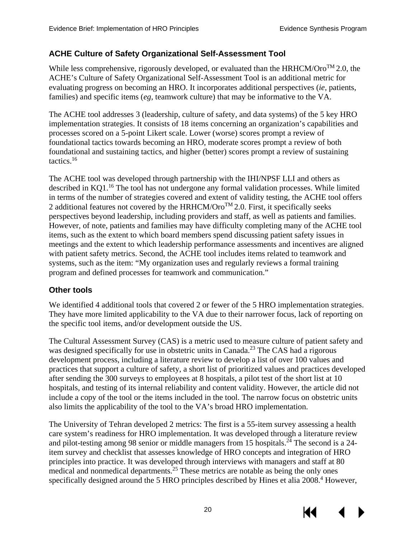#### <span id="page-23-0"></span>**ACHE Culture of Safety Organizational Self-Assessment Tool**

While less comprehensive, rigorously developed, or evaluated than the HRHCM/Oro<sup>TM</sup> 2.0, the ACHE's Culture of Safety Organizational Self-Assessment Tool is an additional metric for evaluating progress on becoming an HRO. It incorporates additional perspectives (*ie,* patients, families) and specific items (*eg*, teamwork culture) that may be informative to the VA.

The ACHE tool addresses 3 (leadership, culture of safety, and data systems) of the 5 key HRO implementation strategies. It consists of 18 items concerning an organization's capabilities and processes scored on a 5-point Likert scale. Lower (worse) scores prompt a review of foundational tactics towards becoming an HRO, moderate scores prompt a review of both foundational and sustaining tactics, and higher (better) scores prompt a review of sustaining tactics. [16](#page-35-16) 

The ACHE tool was developed through partnership with the IHI/NPSF LLI and others as described in KQ1.<sup>16</sup> The tool has not undergone any formal validation processes. While limited in terms of the number of strategies covered and extent of validity testing, the ACHE tool offers 2 additional features not covered by the HRHCM/ $Oro^{TM}$  2.0. First, it specifically seeks perspectives beyond leadership, including providers and staff, as well as patients and families. However, of note, patients and families may have difficulty completing many of the ACHE tool items, such as the extent to which board members spend discussing patient safety issues in meetings and the extent to which leadership performance assessments and incentives are aligned with patient safety metrics. Second, the ACHE tool includes items related to teamwork and systems, such as the item: "My organization uses and regularly reviews a formal training program and defined processes for teamwork and communication."

#### <span id="page-23-1"></span>**Other tools**

We identified 4 additional tools that covered 2 or fewer of the 5 HRO implementation strategies. They have more limited applicability to the VA due to their narrower focus, lack of reporting on the specific tool items, and/or development outside the US.

The Cultural Assessment Survey (CAS) is a metric used to measure culture of patient safety and was designed specifically for use in obstetric units in Canada.<sup>23</sup> The CAS had a rigorous development process, including a literature review to develop a list of over 100 values and practices that support a culture of safety, a short list of prioritized values and practices developed after sending the 300 surveys to employees at 8 hospitals, a pilot test of the short list at 10 hospitals, and testing of its internal reliability and content validity. However, the article did not include a copy of the tool or the items included in the tool. The narrow focus on obstetric units also limits the applicability of the tool to the VA's broad HRO implementation.

The University of Tehran developed 2 metrics: The first is a 55-item survey assessing a health care system's readiness for HRO implementation. It was developed through a literature review and pilot-testing among 98 senior or middle managers from 15 hospitals.<sup>24</sup> The second is a 24item survey and checklist that assesses knowledge of HRO concepts and integration of HRO principles into practice. It was developed through interviews with managers and staff at 80 medical and nonmedical departments.<sup>25</sup> These metrics are notable as being the only ones specifically designed around the 5 HRO principles described by Hines et alia 2008.<sup>4</sup> However,

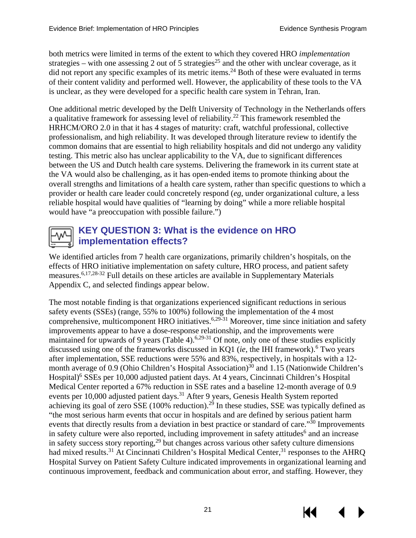both metrics were limited in terms of the extent to which they covered HRO *implementation* strategies – with one assessing 2 out of 5 strategies<sup>25</sup> and the other with unclear coverage, as it did not report any specific examples of its metric items.<sup>24</sup> Both of these were evaluated in terms of their content validity and performed well. However, the applicability of these tools to the VA is unclear, as they were developed for a specific health care system in Tehran, Iran.

One additional metric developed by the Delft University of Technology in the Netherlands offers a qualitative framework for assessing level of reliability[.22](#page-36-0) This framework resembled the HRHCM/ORO 2.0 in that it has 4 stages of maturity: craft, watchful professional, collective professionalism, and high reliability. It was developed through literature review to identify the common domains that are essential to high reliability hospitals and did not undergo any validity testing. This metric also has unclear applicability to the VA, due to significant differences between the US and Dutch health care systems. Delivering the framework in its current state at the VA would also be challenging, as it has open-ended items to promote thinking about the overall strengths and limitations of a health care system, rather than specific questions to which a provider or health care leader could concretely respond (*eg*, under organizational culture, a less reliable hospital would have qualities of "learning by doing" while a more reliable hospital would have "a preoccupation with possible failure.")



## <span id="page-24-0"></span>**KEY QUESTION 3: What is the evidence on HRO implementation effects?**

We identified articles from 7 health care organizations, primarily children's hospitals, on the effects of HRO initiative implementation on safety culture, HRO process, and patient safety measures[.6,](#page-35-6)[17,](#page-35-17)[28-32](#page-36-1) Full details on these articles are available in Supplementary Materials Appendix C, and selected findings appear below.

The most notable finding is that organizations experienced significant reductions in serious safety events (SSEs) (range, 55% to 100%) following the implementation of the 4 most comprehensive, multicomponent HRO initiatives.<sup>[6,](#page-35-6)[29-31](#page-36-17)</sup> Moreover, time since initiation and safety improvements appear to have a dose-response relationship, and the improvements were maintained for upwards of 9 years (Table 4).<sup>6,29-31</sup> Of note, only one of these studies explicitly discussed using one of the frameworks discussed in KQ1 (*ie*, the IHI framework).<sup>6</sup> Two years after implementation, SSE reductions were 55% and 83%, respectively, in hospitals with a 12 month average of 0.9 (Ohio Children's Hospital Association)<sup>30</sup> and 1.15 (Nationwide Children's Hospital)<sup>[6](#page-35-6)</sup> SSEs per 10,000 adjusted patient days. At 4 years, Cincinnati Children's Hospital Medical Center reported a 67% reduction in SSE rates and a baseline 12-month average of 0.9 events per 10,000 adjusted patient days.<sup>31</sup> After 9 years, Genesis Health System reported achieving its goal of zero SSE (100% reduction).<sup>[29](#page-36-17)</sup> In these studies, SSE was typically defined as "the most serious harm events that occur in hospitals and are defined by serious patient harm events that directly results from a deviation in best practice or standard of care."<sup>30</sup> Improvements in safety culture were also reported, including improvement in safety attitudes<sup>[6](#page-35-6)</sup> and an increase in safety success story reporting,  $29$  but changes across various other safety culture dimensions had mixed results.<sup>[31](#page-36-19)</sup> At Cincinnati Children's Hospital Medical Center,<sup>31</sup> responses to the AHRQ Hospital Survey on Patient Safety Culture indicated improvements in organizational learning and continuous improvement, feedback and communication about error, and staffing. However, they

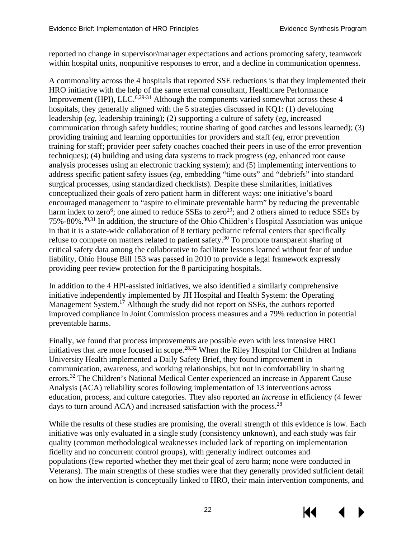reported no change in supervisor/manager expectations and actions promoting safety, teamwork within hospital units, nonpunitive responses to error, and a decline in communication openness.

A commonality across the 4 hospitals that reported SSE reductions is that they implemented their HRO initiative with the help of the same external consultant, Healthcare Performance Improvement (HPI), LLC.<sup>[6,](#page-35-6)[29-31](#page-36-17)</sup> Although the components varied somewhat across these 4 hospitals, they generally aligned with the 5 strategies discussed in KQ1: (1) developing leadership (*eg*, leadership training); (2) supporting a culture of safety (*eg*, increased communication through safety huddles; routine sharing of good catches and lessons learned); (3) providing training and learning opportunities for providers and staff (*eg*, error prevention training for staff; provider peer safety coaches coached their peers in use of the error prevention techniques); (4) building and using data systems to track progress (*eg*, enhanced root cause analysis processes using an electronic tracking system); and (5) implementing interventions to address specific patient safety issues (*eg*, embedding "time outs" and "debriefs" into standard surgical processes, using standardized checklists). Despite these similarities, initiatives conceptualized their goals of zero patient harm in different ways: one initiative's board encouraged management to "aspire to eliminate preventable harm" by reducing the preventable harm index to zero<sup>6</sup>[;](#page-35-6) one aimed to reduce SSEs to zero<sup>29</sup>; and 2 others aimed to reduce SSEs by 75%-80%[.30](#page-36-18)[,31](#page-36-19) In addition, the structure of the Ohio Children's Hospital Association was unique in that it is a state-wide collaboration of 8 tertiary pediatric referral centers that specifically refuse to compete on matters related to patient safety.[30](#page-36-18) To promote transparent sharing of critical safety data among the collaborative to facilitate lessons learned without fear of undue liability, Ohio House Bill 153 was passed in 2010 to provide a legal framework expressly providing peer review protection for the 8 participating hospitals.

In addition to the 4 HPI-assisted initiatives, we also identified a similarly comprehensive initiative independently implemented by JH Hospital and Health System: the Operating Management System.<sup>[17](#page-35-17)</sup> Although the study did not report on SSEs, the authors reported improved compliance in Joint Commission process measures and a 79% reduction in potential preventable harms.

Finally, we found that process improvements are possible even with less intensive HRO initiatives that are more focused in scope.<sup>[28,](#page-36-1)[32](#page-36-20)</sup> When the Riley Hospital for Children at Indiana University Health implemented a Daily Safety Brief, they found improvement in communication, awareness, and working relationships, but not in comfortability in sharing errors.<sup>[32](#page-36-20)</sup> The Children's National Medical Center experienced an increase in Apparent Cause Analysis (ACA) reliability scores following implementation of 13 interventions across education, process, and culture categories. They also reported an *increase* in efficiency (4 fewer days to turn around  $ACA$ ) and increased satisfaction with the process.<sup>28</sup>

While the results of these studies are promising, the overall strength of this evidence is low. Each initiative was only evaluated in a single study (consistency unknown), and each study was fair quality (common methodological weaknesses included lack of reporting on implementation fidelity and no concurrent control groups), with generally indirect outcomes and populations (few reported whether they met their goal of zero harm; none were conducted in Veterans). The main strengths of these studies were that they generally provided sufficient detail on how the intervention is conceptually linked to HRO, their main intervention components, and

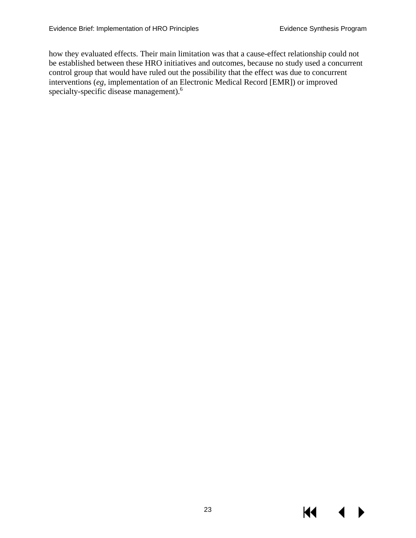how they evaluated effects. Their main limitation was that a cause-effect relationship could not be established between these HRO initiatives and outcomes, because no study used a concurrent control group that would have ruled out the possibility that the effect was due to concurrent interventions (*eg*, implementation of an Electronic Medical Record [EMR]) or improved specialty-specific disease management).<sup>[6](#page-35-6)</sup>

KI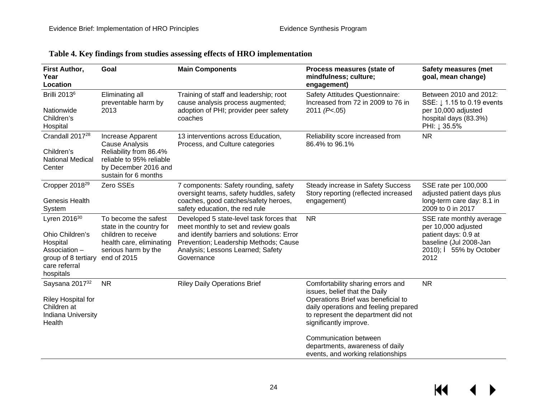<span id="page-27-0"></span>

| First Author,<br>Year<br>Location                                                                                      | Goal                                                                                                                                             | <b>Main Components</b>                                                                                                                                                                                                     | Process measures (state of<br>mindfulness; culture;<br>engagement)                                                                                                                                                 | <b>Safety measures (met</b><br>goal, mean change)                                                                                            |
|------------------------------------------------------------------------------------------------------------------------|--------------------------------------------------------------------------------------------------------------------------------------------------|----------------------------------------------------------------------------------------------------------------------------------------------------------------------------------------------------------------------------|--------------------------------------------------------------------------------------------------------------------------------------------------------------------------------------------------------------------|----------------------------------------------------------------------------------------------------------------------------------------------|
| <b>Brilli 2013</b> <sup>6</sup><br>Nationwide<br>Children's<br>Hospital                                                | Eliminating all<br>preventable harm by<br>2013                                                                                                   | Training of staff and leadership; root<br>cause analysis process augmented;<br>adoption of PHI; provider peer safety<br>coaches                                                                                            | Safety Attitudes Questionnaire:<br>Increased from 72 in 2009 to 76 in<br>2011 (P<.05)                                                                                                                              | Between 2010 and 2012:<br>SSE: $\downarrow$ 1.15 to 0.19 events<br>per 10,000 adjusted<br>hospital days (83.3%)<br>PHI: ↓ 35.5%              |
| Crandall 2017 <sup>28</sup><br>Children's<br><b>National Medical</b><br>Center                                         | Increase Apparent<br><b>Cause Analysis</b><br>Reliability from 86.4%<br>reliable to 95% reliable<br>by December 2016 and<br>sustain for 6 months | 13 interventions across Education,<br>Process, and Culture categories                                                                                                                                                      | Reliability score increased from<br>86.4% to 96.1%                                                                                                                                                                 | <b>NR</b>                                                                                                                                    |
| Cropper 2018 <sup>29</sup><br><b>Genesis Health</b><br>System                                                          | Zero SSEs                                                                                                                                        | 7 components: Safety rounding, safety<br>oversight teams, safety huddles, safety<br>coaches, good catches/safety heroes,<br>safety education, the red rule                                                                 | Steady increase in Safety Success<br>Story reporting (reflected increased<br>engagement)                                                                                                                           | SSE rate per 100,000<br>adjusted patient days plus<br>long-term care day: 8.1 in<br>2009 to 0 in 2017                                        |
| Lyren $2016^{30}$<br>Ohio Children's<br>Hospital<br>Association -<br>group of 8 tertiary<br>care referral<br>hospitals | To become the safest<br>state in the country for<br>children to receive<br>health care, eliminating<br>serious harm by the<br>end of 2015        | Developed 5 state-level task forces that<br>meet monthly to set and review goals<br>and identify barriers and solutions: Error<br>Prevention; Leadership Methods; Cause<br>Analysis; Lessons Learned; Safety<br>Governance | <b>NR</b>                                                                                                                                                                                                          | SSE rate monthly average<br>per 10,000 adjusted<br>patient days: 0.9 at<br>baseline (Jul 2008-Jan<br>2010); $\hat{e}$ 55% by October<br>2012 |
| Saysana 201732<br><b>Riley Hospital for</b><br>Children at<br>Indiana University<br>Health                             | <b>NR</b>                                                                                                                                        | <b>Riley Daily Operations Brief</b>                                                                                                                                                                                        | Comfortability sharing errors and<br>issues, belief that the Daily<br>Operations Brief was beneficial to<br>daily operations and feeling prepared<br>to represent the department did not<br>significantly improve. | <b>NR</b>                                                                                                                                    |
|                                                                                                                        |                                                                                                                                                  |                                                                                                                                                                                                                            | Communication between<br>departments, awareness of daily<br>events, and working relationships                                                                                                                      |                                                                                                                                              |

#### **Table 4. Key findings from studies assessing effects of HRO implementation**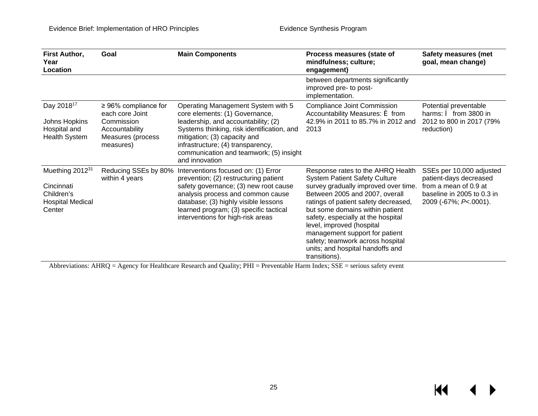| First Author,<br>Year<br>Location                                                            | Goal                                                                                                           | <b>Main Components</b>                                                                                                                                                                                                                                                                      | Process measures (state of<br>mindfulness; culture;<br>engagement)                                                                                                                                                                                                                                                                                                                                                           | <b>Safety measures (met</b><br>goal, mean change)                                                                                  |
|----------------------------------------------------------------------------------------------|----------------------------------------------------------------------------------------------------------------|---------------------------------------------------------------------------------------------------------------------------------------------------------------------------------------------------------------------------------------------------------------------------------------------|------------------------------------------------------------------------------------------------------------------------------------------------------------------------------------------------------------------------------------------------------------------------------------------------------------------------------------------------------------------------------------------------------------------------------|------------------------------------------------------------------------------------------------------------------------------------|
|                                                                                              |                                                                                                                |                                                                                                                                                                                                                                                                                             | between departments significantly<br>improved pre- to post-<br>implementation.                                                                                                                                                                                                                                                                                                                                               |                                                                                                                                    |
| Day 2018 <sup>17</sup><br>Johns Hopkins<br>Hospital and<br><b>Health System</b>              | $\geq$ 96% compliance for<br>each core Joint<br>Commission<br>Accountability<br>Measures (process<br>measures) | Operating Management System with 5<br>core elements: (1) Governance,<br>leadership, and accountability; (2)<br>Systems thinking, risk identification, and<br>mitigation; (3) capacity and<br>infrastructure; (4) transparency,<br>communication and teamwork; (5) insight<br>and innovation | <b>Compliance Joint Commission</b><br>Accountability Measures: $\acute{\mathbf{e}}$ from<br>42.9% in 2011 to 85.7% in 2012 and<br>2013                                                                                                                                                                                                                                                                                       | Potential preventable<br>harms: $\hat{\mathbf{e}}$ from 3800 in<br>2012 to 800 in 2017 (79%<br>reduction)                          |
| Muething 2012 <sup>31</sup><br>Cincinnati<br>Children's<br><b>Hospital Medical</b><br>Center | Reducing SSEs by 80%<br>within 4 years                                                                         | Interventions focused on: (1) Error<br>prevention; (2) restructuring patient<br>safety governance; (3) new root cause<br>analysis process and common cause<br>database; (3) highly visible lessons<br>learned program; (3) specific tactical<br>interventions for high-risk areas           | Response rates to the AHRQ Health<br><b>System Patient Safety Culture</b><br>survey gradually improved over time.<br>Between 2005 and 2007, overall<br>ratings of patient safety decreased,<br>but some domains within patient<br>safety, especially at the hospital<br>level, improved (hospital<br>management support for patient<br>safety; teamwork across hospital<br>units; and hospital handoffs and<br>transitions). | SSEs per 10,000 adjusted<br>patient-days decreased<br>from a mean of 0.9 at<br>baseline in 2005 to 0.3 in<br>2009 (-67%; P<.0001). |

Abbreviations: AHRQ = Agency for Healthcare Research and Quality; PHI = Preventable Harm Index; SSE = serious safety event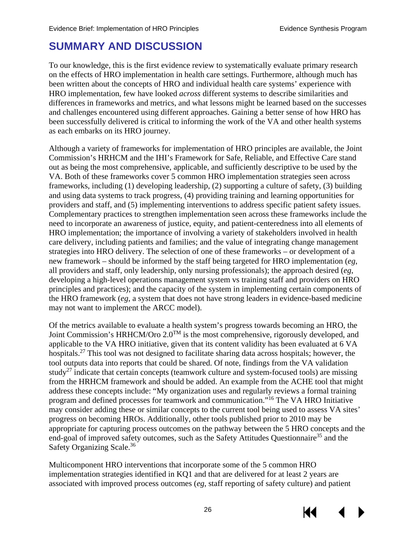# <span id="page-29-0"></span>**SUMMARY AND DISCUSSION**

To our knowledge, this is the first evidence review to systematically evaluate primary research on the effects of HRO implementation in health care settings. Furthermore, although much has been written about the concepts of HRO and individual health care systems' experience with HRO implementation, few have looked *across* different systems to describe similarities and differences in frameworks and metrics, and what lessons might be learned based on the successes and challenges encountered using different approaches. Gaining a better sense of how HRO has been successfully delivered is critical to informing the work of the VA and other health systems as each embarks on its HRO journey.

Although a variety of frameworks for implementation of HRO principles are available, the Joint Commission's HRHCM and the IHI's Framework for Safe, Reliable, and Effective Care stand out as being the most comprehensive, applicable, and sufficiently descriptive to be used by the VA. Both of these frameworks cover 5 common HRO implementation strategies seen across frameworks, including (1) developing leadership, (2) supporting a culture of safety, (3) building and using data systems to track progress, (4) providing training and learning opportunities for providers and staff, and (5) implementing interventions to address specific patient safety issues. Complementary practices to strengthen implementation seen across these frameworks include the need to incorporate an awareness of justice, equity, and patient-centeredness into all elements of HRO implementation; the importance of involving a variety of stakeholders involved in health care delivery, including patients and families; and the value of integrating change management strategies into HRO delivery. The selection of one of these frameworks – or development of a new framework – should be informed by the staff being targeted for HRO implementation (*eg*, all providers and staff, only leadership, only nursing professionals); the approach desired (*eg*, developing a high-level operations management system vs training staff and providers on HRO principles and practices); and the capacity of the system in implementing certain components of the HRO framework (*eg*, a system that does not have strong leaders in evidence-based medicine may not want to implement the ARCC model).

Of the metrics available to evaluate a health system's progress towards becoming an HRO, the Joint Commission's HRHCM/Oro  $2.0^{TM}$  is the most comprehensive, rigorously developed, and applicable to the VA HRO initiative, given that its content validity has been evaluated at 6 VA hospitals.<sup>[27](#page-36-7)</sup> This tool was not designed to facilitate sharing data across hospitals; however, the tool outputs data into reports that could be shared. Of note, findings from the VA validation study<sup>27</sup> indicate that certain concepts (teamwork culture and system-focused tools) are missing from the HRHCM framework and should be added. An example from the ACHE tool that might address these concepts include: "My organization uses and regularly reviews a formal training program and defined processes for teamwork and communication."[16](#page-35-16) The VA HRO Initiative may consider adding these or similar concepts to the current tool being used to assess VA sites' progress on becoming HROs. Additionally, other tools published prior to 2010 may be appropriate for capturing process outcomes on the pathway between the 5 HRO concepts and the end-goal of improved safety outcomes, such as the Safety Attitudes Questionnaire<sup>35</sup> and the Safety Organizing Scale.<sup>[36](#page-37-3)</sup>

Multicomponent HRO interventions that incorporate some of the 5 common HRO implementation strategies identified in KQ1 and that are delivered for at least 2 years are associated with improved process outcomes (*eg*, staff reporting of safety culture) and patient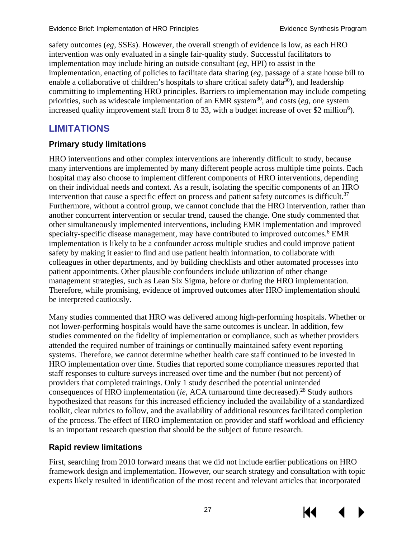safety outcomes (*eg*, SSEs). However, the overall strength of evidence is low, as each HRO intervention was only evaluated in a single fair-quality study. Successful facilitators to implementation may include hiring an outside consultant (*eg,* HPI) to assist in the implementation, enacting of policies to facilitate data sharing (*eg*, passage of a state house bill to enable a collaborative of children's hospitals to share critical safety data<sup>30</sup>), and leadership committing to implementing HRO principles. Barriers to implementation may include competing priorities, such as widescale implementation of an EMR system<sup>30</sup>, and costs ( $eg$ , one system) increased quality improvement staff from 8 to 33, with a budget increase of over \$2 million<sup>6</sup>).

## <span id="page-30-0"></span>**LIMITATIONS**

#### <span id="page-30-1"></span>**Primary study limitations**

HRO interventions and other complex interventions are inherently difficult to study, because many interventions are implemented by many different people across multiple time points. Each hospital may also choose to implement different components of HRO interventions, depending on their individual needs and context. As a result, isolating the specific components of an HRO intervention that cause a specific effect on process and patient safety outcomes is difficult.<sup>[37](#page-37-4)</sup> Furthermore, without a control group, we cannot conclude that the HRO intervention, rather than another concurrent intervention or secular trend, caused the change. One study commented that other simultaneously implemented interventions, including EMR implementation and improved specialty-specific disease management, may have contributed to improved outcomes.<sup>6</sup> EMR implementation is likely to be a confounder across multiple studies and could improve patient safety by making it easier to find and use patient health information, to collaborate with colleagues in other departments, and by building checklists and other automated processes into patient appointments. Other plausible confounders include utilization of other change management strategies, such as Lean Six Sigma, before or during the HRO implementation. Therefore, while promising, evidence of improved outcomes after HRO implementation should be interpreted cautiously.

Many studies commented that HRO was delivered among high-performing hospitals. Whether or not lower-performing hospitals would have the same outcomes is unclear. In addition, few studies commented on the fidelity of implementation or compliance, such as whether providers attended the required number of trainings or continually maintained safety event reporting systems. Therefore, we cannot determine whether health care staff continued to be invested in HRO implementation over time. Studies that reported some compliance measures reported that staff responses to culture surveys increased over time and the number (but not percent) of providers that completed trainings. Only 1 study described the potential unintended consequences of HRO implementation (*ie,* ACA turnaround time decreased). [28](#page-36-1) Study authors hypothesized that reasons for this increased efficiency included the availability of a standardized toolkit, clear rubrics to follow, and the availability of additional resources facilitated completion of the process. The effect of HRO implementation on provider and staff workload and efficiency is an important research question that should be the subject of future research.

#### <span id="page-30-2"></span>**Rapid review limitations**

First, searching from 2010 forward means that we did not include earlier publications on HRO framework design and implementation. However, our search strategy and consultation with topic experts likely resulted in identification of the most recent and relevant articles that incorporated



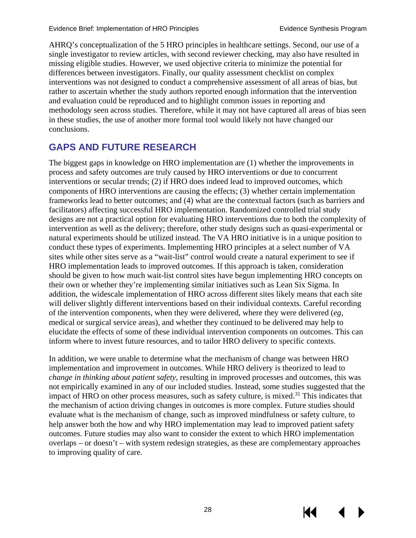AHRQ's conceptualization of the 5 HRO principles in healthcare settings. Second, our use of a single investigator to review articles, with second reviewer checking, may also have resulted in missing eligible studies. However, we used objective criteria to minimize the potential for differences between investigators. Finally, our quality assessment checklist on complex interventions was not designed to conduct a comprehensive assessment of all areas of bias, but rather to ascertain whether the study authors reported enough information that the intervention and evaluation could be reproduced and to highlight common issues in reporting and methodology seen across studies. Therefore, while it may not have captured all areas of bias seen in these studies, the use of another more formal tool would likely not have changed our conclusions.

## <span id="page-31-0"></span>**GAPS AND FUTURE RESEARCH**

The biggest gaps in knowledge on HRO implementation are (1) whether the improvements in process and safety outcomes are truly caused by HRO interventions or due to concurrent interventions or secular trends; (2) if HRO does indeed lead to improved outcomes, which components of HRO interventions are causing the effects; (3) whether certain implementation frameworks lead to better outcomes; and (4) what are the contextual factors (such as barriers and facilitators) affecting successful HRO implementation. Randomized controlled trial study designs are not a practical option for evaluating HRO interventions due to both the complexity of intervention as well as the delivery; therefore, other study designs such as quasi-experimental or natural experiments should be utilized instead. The VA HRO initiative is in a unique position to conduct these types of experiments. Implementing HRO principles at a select number of VA sites while other sites serve as a "wait-list" control would create a natural experiment to see if HRO implementation leads to improved outcomes. If this approach is taken, consideration should be given to how much wait-list control sites have begun implementing HRO concepts on their own or whether they're implementing similar initiatives such as Lean Six Sigma. In addition, the widescale implementation of HRO across different sites likely means that each site will deliver slightly different interventions based on their individual contexts. Careful recording of the intervention components, when they were delivered, where they were delivered (*eg*, medical or surgical service areas), and whether they continued to be delivered may help to elucidate the effects of some of these individual intervention components on outcomes. This can inform where to invest future resources, and to tailor HRO delivery to specific contexts.

In addition, we were unable to determine what the mechanism of change was between HRO implementation and improvement in outcomes. While HRO delivery is theorized to lead to *change in thinking about patient safety*, resulting in improved processes and outcomes, this was not empirically examined in any of our included studies. Instead, some studies suggested that the impact of HRO on other process measures, such as safety culture, is mixed.<sup>[31](#page-36-19)</sup> This indicates that the mechanism of action driving changes in outcomes is more complex. Future studies should evaluate what is the mechanism of change, such as improved mindfulness or safety culture, to help answer both the how and why HRO implementation may lead to improved patient safety outcomes. Future studies may also want to consider the extent to which HRO implementation overlaps – or doesn't – with system redesign strategies, as these are complementary approaches to improving quality of care.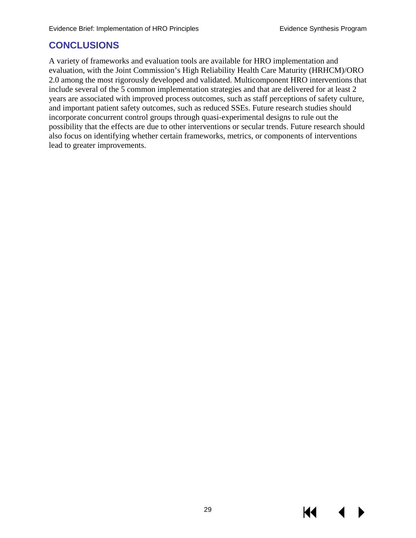## <span id="page-32-0"></span>**CONCLUSIONS**

A variety of frameworks and evaluation tools are available for HRO implementation and evaluation, with the Joint Commission's High Reliability Health Care Maturity (HRHCM)/ORO 2.0 among the most rigorously developed and validated. Multicomponent HRO interventions that include several of the 5 common implementation strategies and that are delivered for at least 2 years are associated with improved process outcomes, such as staff perceptions of safety culture, and important patient safety outcomes, such as reduced SSEs. Future research studies should incorporate concurrent control groups through quasi-experimental designs to rule out the possibility that the effects are due to other interventions or secular trends. Future research should also focus on identifying whether certain frameworks, metrics, or components of interventions lead to greater improvements.

К€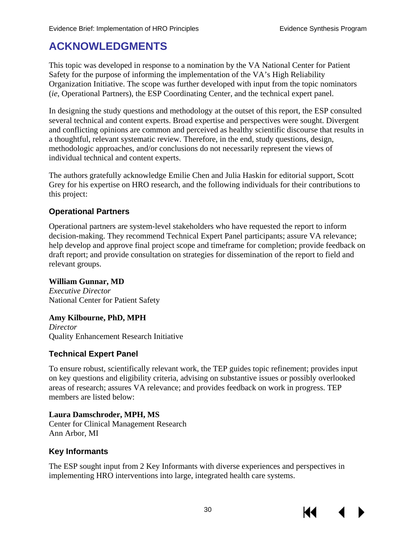# <span id="page-33-0"></span>**ACKNOWLEDGMENTS**

This topic was developed in response to a nomination by the VA National Center for Patient Safety for the purpose of informing the implementation of the VA's High Reliability Organization Initiative. The scope was further developed with input from the topic nominators (*ie*, Operational Partners), the ESP Coordinating Center, and the technical expert panel.

In designing the study questions and methodology at the outset of this report, the ESP consulted several technical and content experts. Broad expertise and perspectives were sought. Divergent and conflicting opinions are common and perceived as healthy scientific discourse that results in a thoughtful, relevant systematic review. Therefore, in the end, study questions, design, methodologic approaches, and/or conclusions do not necessarily represent the views of individual technical and content experts.

The authors gratefully acknowledge Emilie Chen and Julia Haskin for editorial support, Scott Grey for his expertise on HRO research, and the following individuals for their contributions to this project:

#### **Operational Partners**

Operational partners are system-level stakeholders who have requested the report to inform decision-making. They recommend Technical Expert Panel participants; assure VA relevance; help develop and approve final project scope and timeframe for completion; provide feedback on draft report; and provide consultation on strategies for dissemination of the report to field and relevant groups.

**William Gunnar, MD** *Executive Director* National Center for Patient Safety

#### **Amy Kilbourne, PhD, MPH**

*Director* Quality Enhancement Research Initiative

#### **Technical Expert Panel**

To ensure robust, scientifically relevant work, the TEP guides topic refinement; provides input on key questions and eligibility criteria, advising on substantive issues or possibly overlooked areas of research; assures VA relevance; and provides feedback on work in progress. TEP members are listed below:

**Laura Damschroder, MPH, MS** Center for Clinical Management Research Ann Arbor, MI

#### **Key Informants**

The ESP sought input from 2 Key Informants with diverse experiences and perspectives in implementing HRO interventions into large, integrated health care systems.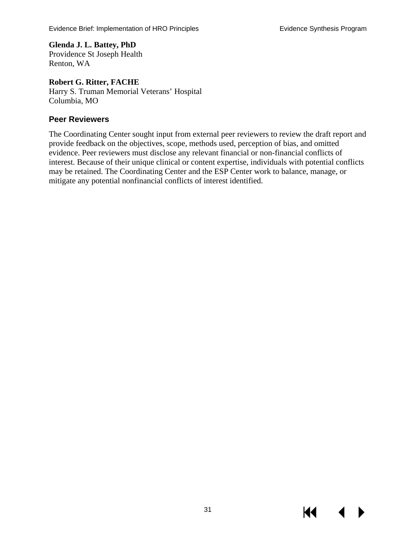**Glenda J. L. Battey, PhD** Providence St Joseph Health Renton, WA

**Robert G. Ritter, FACHE** Harry S. Truman Memorial Veterans' Hospital Columbia, MO

#### **Peer Reviewers**

The Coordinating Center sought input from external peer reviewers to review the draft report and provide feedback on the objectives, scope, methods used, perception of bias, and omitted evidence. Peer reviewers must disclose any relevant financial or non-financial conflicts of interest. Because of their unique clinical or content expertise, individuals with potential conflicts may be retained. The Coordinating Center and the ESP Center work to balance, manage, or mitigate any potential nonfinancial conflicts of interest identified.

KI.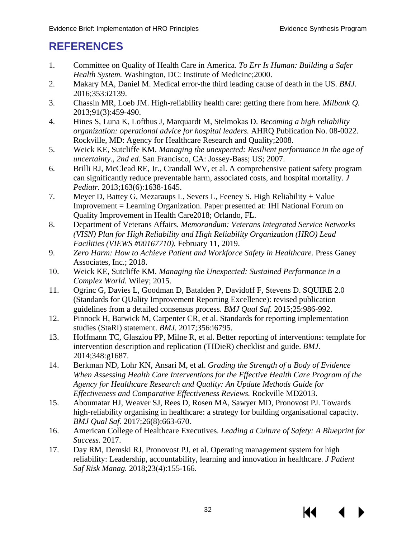# <span id="page-35-20"></span><span id="page-35-18"></span><span id="page-35-0"></span>**REFERENCES**

- <span id="page-35-1"></span>1. Committee on Quality of Health Care in America. *To Err Is Human: Building a Safer Health System.* Washington, DC: Institute of Medicine;2000.
- <span id="page-35-2"></span>2. Makary MA, Daniel M. Medical error-the third leading cause of death in the US. *BMJ.*  2016;353:i2139.
- <span id="page-35-3"></span>3. Chassin MR, Loeb JM. High-reliability health care: getting there from here. *Milbank Q.*  2013;91(3):459-490.
- <span id="page-35-4"></span>4. Hines S, Luna K, Lofthus J, Marquardt M, Stelmokas D. *Becoming a high reliability organization: operational advice for hospital leaders.* AHRQ Publication No. 08-0022. Rockville, MD: Agency for Healthcare Research and Quality;2008.
- <span id="page-35-5"></span>5. Weick KE, Sutcliffe KM. *Managing the unexpected: Resilient performance in the age of uncertainty., 2nd ed.* San Francisco, CA: Jossey-Bass; US; 2007.
- <span id="page-35-6"></span>6. Brilli RJ, McClead RE, Jr., Crandall WV, et al. A comprehensive patient safety program can significantly reduce preventable harm, associated costs, and hospital mortality. *J Pediatr.* 2013;163(6):1638-1645.
- <span id="page-35-7"></span>7. Meyer D, Battey G, Mezaraups L, Severs L, Feeney S. High Reliability + Value Improvement = Learning Organization. Paper presented at: IHI National Forum on Quality Improvement in Health Care2018; Orlando, FL.
- <span id="page-35-8"></span>8. Department of Veterans Affairs. *Memorandum: Veterans Integrated Service Networks (VISN) Plan for High Reliability and High Reliability Organization (HRO) Lead Facilities (VIEWS #00167710).* February 11, 2019.
- <span id="page-35-9"></span>9. *Zero Harm: How to Achieve Patient and Workforce Safety in Healthcare.* Press Ganey Associates, Inc.; 2018.
- <span id="page-35-10"></span>10. Weick KE, Sutcliffe KM. *Managing the Unexpected: Sustained Performance in a Complex World.* Wiley; 2015.
- <span id="page-35-11"></span>11. Ogrinc G, Davies L, Goodman D, Batalden P, Davidoff F, Stevens D. SQUIRE 2.0 (Standards for QUality Improvement Reporting Excellence): revised publication guidelines from a detailed consensus process. *BMJ Qual Saf.* 2015;25:986-992.
- <span id="page-35-21"></span><span id="page-35-19"></span><span id="page-35-12"></span>12. Pinnock H, Barwick M, Carpenter CR, et al. Standards for reporting implementation studies (StaRI) statement. *BMJ.* 2017;356:i6795.
- <span id="page-35-13"></span>13. Hoffmann TC, Glasziou PP, Milne R, et al. Better reporting of interventions: template for intervention description and replication (TIDieR) checklist and guide. *BMJ.*  2014;348:g1687.
- <span id="page-35-14"></span>14. Berkman ND, Lohr KN, Ansari M, et al. *Grading the Strength of a Body of Evidence When Assessing Health Care Interventions for the Effective Health Care Program of the Agency for Healthcare Research and Quality: An Update Methods Guide for Effectiveness and Comparative Effectiveness Reviews.* Rockville MD2013.
- <span id="page-35-15"></span>15. Aboumatar HJ, Weaver SJ, Rees D, Rosen MA, Sawyer MD, Pronovost PJ. Towards high-reliability organising in healthcare: a strategy for building organisational capacity. *BMJ Qual Saf.* 2017;26(8):663-670.
- <span id="page-35-16"></span>16. American College of Healthcare Executives. *Leading a Culture of Safety: A Blueprint for Success.* 2017.
- <span id="page-35-17"></span>17. Day RM, Demski RJ, Pronovost PJ, et al. Operating management system for high reliability: Leadership, accountability, learning and innovation in healthcare. *J Patient Saf Risk Manag.* 2018;23(4):155-166.

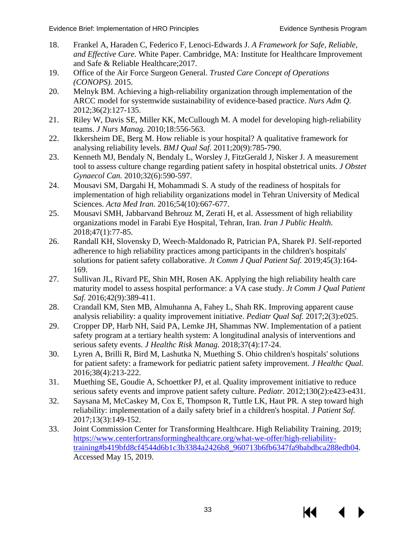- <span id="page-36-15"></span><span id="page-36-13"></span><span id="page-36-2"></span>18. Frankel A, Haraden C, Federico F, Lenoci-Edwards J. *A Framework for Safe, Reliable, and Effective Care.* White Paper. Cambridge, MA: Institute for Healthcare Improvement and Safe & Reliable Healthcare;2017.
- <span id="page-36-14"></span><span id="page-36-3"></span>19. Office of the Air Force Surgeon General. *Trusted Care Concept of Operations (CONOPS).* 2015.
- <span id="page-36-4"></span>20. Melnyk BM. Achieving a high-reliability organization through implementation of the ARCC model for systemwide sustainability of evidence-based practice. *Nurs Adm Q.*  2012;36(2):127-135.
- <span id="page-36-11"></span><span id="page-36-5"></span>21. Riley W, Davis SE, Miller KK, McCullough M. A model for developing high-reliability teams. *J Nurs Manag.* 2010;18:556-563.
- <span id="page-36-0"></span>22. Ikkersheim DE, Berg M. How reliable is your hospital? A qualitative framework for analysing reliability levels. *BMJ Qual Saf.* 2011;20(9):785-790.
- <span id="page-36-12"></span><span id="page-36-8"></span>23. Kenneth MJ, Bendaly N, Bendaly L, Worsley J, FitzGerald J, Nisker J. A measurement tool to assess culture change regarding patient safety in hospital obstetrical units. *J Obstet Gynaecol Can.* 2010;32(6):590-597.
- <span id="page-36-9"></span>24. Mousavi SM, Dargahi H, Mohammadi S. A study of the readiness of hospitals for implementation of high reliability organizations model in Tehran University of Medical Sciences. *Acta Med Iran.* 2016;54(10):667-677.
- <span id="page-36-21"></span><span id="page-36-16"></span>25. Mousavi SMH, Jabbarvand Behrouz M, Zerati H, et al. Assessment of high reliability organizations model in Farabi Eye Hospital, Tehran, Iran. *Iran J Public Health.*  2018;47(1):77-85.
- <span id="page-36-23"></span><span id="page-36-22"></span><span id="page-36-10"></span>26. Randall KH, Slovensky D, Weech-Maldonado R, Patrician PA, Sharek PJ. Self-reported adherence to high reliability practices among participants in the children's hospitals' solutions for patient safety collaborative. *Jt Comm J Qual Patient Saf.* 2019;45(3):164- 169.
- <span id="page-36-7"></span>27. Sullivan JL, Rivard PE, Shin MH, Rosen AK. Applying the high reliability health care maturity model to assess hospital performance: a VA case study. *Jt Comm J Qual Patient Saf.* 2016;42(9):389-411.
- <span id="page-36-1"></span>28. Crandall KM, Sten MB, Almuhanna A, Fahey L, Shah RK. Improving apparent cause analysis reliability: a quality improvement initiative. *Pediatr Qual Saf.* 2017;2(3):e025.
- <span id="page-36-17"></span>29. Cropper DP, Harb NH, Said PA, Lemke JH, Shammas NW. Implementation of a patient safety program at a tertiary health system: A longitudinal analysis of interventions and serious safety events. *J Healthc Risk Manag.* 2018;37(4):17-24.
- <span id="page-36-18"></span>30. Lyren A, Brilli R, Bird M, Lashutka N, Muething S. Ohio children's hospitals' solutions for patient safety: a framework for pediatric patient safety improvement. *J Healthc Qual.*  2016;38(4):213-222.
- <span id="page-36-19"></span>31. Muething SE, Goudie A, Schoettker PJ, et al. Quality improvement initiative to reduce serious safety events and improve patient safety culture. *Pediatr.* 2012;130(2):e423-e431.
- <span id="page-36-20"></span>32. Saysana M, McCaskey M, Cox E, Thompson R, Tuttle LK, Haut PR. A step toward high reliability: implementation of a daily safety brief in a children's hospital. *J Patient Saf.*  2017;13(3):149-152.
- <span id="page-36-6"></span>33. Joint Commission Center for Transforming Healthcare. High Reliability Training. 2019; [https://www.centerfortransforminghealthcare.org/what-we-offer/high-reliability](https://www.centerfortransforminghealthcare.org/what-we-offer/high-reliability-training#b419bfd8cf4544d6b1c3b3384a2426b8_960713b6fb6347fa9babdbca288edb04)[training#b419bfd8cf4544d6b1c3b3384a2426b8\\_960713b6fb6347fa9babdbca288edb04.](https://www.centerfortransforminghealthcare.org/what-we-offer/high-reliability-training#b419bfd8cf4544d6b1c3b3384a2426b8_960713b6fb6347fa9babdbca288edb04) Accessed May 15, 2019.